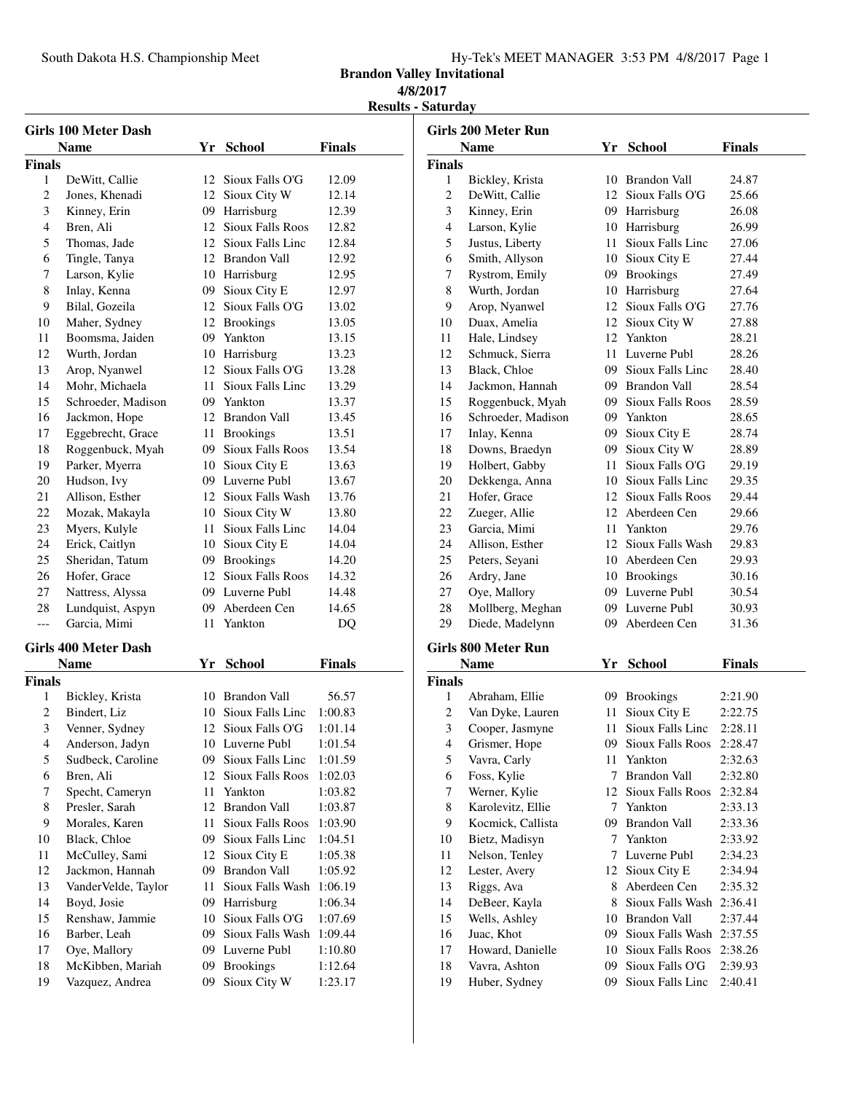South Dakota H.S. Championship Meet

|  |  |  | Hy-Tek's MEET MANAGER 3:53 PM 4/8/2017 Page 1 |  |  |  |  |
|--|--|--|-----------------------------------------------|--|--|--|--|
|--|--|--|-----------------------------------------------|--|--|--|--|

**Brandon Valley Invitational**

### **4/8/2017**

**Results - Saturday**

|               | Girls 100 Meter Dash        |     |                         |               |
|---------------|-----------------------------|-----|-------------------------|---------------|
|               | <b>Name</b>                 |     | Yr School               | <b>Finals</b> |
| <b>Finals</b> |                             |     |                         |               |
| 1             | DeWitt, Callie              | 12  | Sioux Falls O'G         | 12.09         |
| 2             | Jones, Khenadi              | 12  | Sioux City W            | 12.14         |
| 3             | Kinney, Erin                | 09- | Harrisburg              | 12.39         |
| 4             | Bren, Ali                   | 12  | <b>Sioux Falls Roos</b> | 12.82         |
| 5             | Thomas, Jade                |     | 12 Sioux Falls Linc     | 12.84         |
| 6             | Tingle, Tanya               |     | 12 Brandon Vall         | 12.92         |
| 7             | Larson, Kylie               |     | 10 Harrisburg           | 12.95         |
| 8             | Inlay, Kenna                |     | 09 Sioux City E         | 12.97         |
| 9             | Bilal, Gozeila              |     | 12 Sioux Falls O'G      | 13.02         |
| 10            | Maher, Sydney               |     | 12 Brookings            | 13.05         |
| 11            | Boomsma, Jaiden             |     | 09 Yankton              | 13.15         |
| 12            | Wurth, Jordan               |     | 10 Harrisburg           | 13.23         |
| 13            | Arop, Nyanwel               |     | 12 Sioux Falls O'G      | 13.28         |
| 14            | Mohr, Michaela              | 11. | Sioux Falls Linc        | 13.29         |
| 15            | Schroeder, Madison          |     | 09 Yankton              | 13.37         |
| 16            | Jackmon, Hope               |     | 12 Brandon Vall         | 13.45         |
| 17            | Eggebrecht, Grace           | 11  | <b>Brookings</b>        | 13.51         |
| 18            | Roggenbuck, Myah            |     | 09 Sioux Falls Roos     | 13.54         |
| 19            | Parker, Myerra              |     | 10 Sioux City E         | 13.63         |
| 20            | Hudson, Ivy                 |     | 09 Luverne Publ         | 13.67         |
| 21            | Allison, Esther             | 12  | Sioux Falls Wash        | 13.76         |
| 22            | Mozak, Makayla              |     | 10 Sioux City W         | 13.80         |
| 23            | Myers, Kulyle               | 11. | Sioux Falls Linc        | 14.04         |
| 24            | Erick, Caitlyn              | 10  | Sioux City E            | 14.04         |
| 25            | Sheridan, Tatum             | 09  | <b>Brookings</b>        | 14.20         |
| 26            | Hofer, Grace                | 12  | Sioux Falls Roos        | 14.32         |
| 27            | Nattress, Alyssa            |     | 09 Luverne Publ         | 14.48         |
| 28            | Lundquist, Aspyn            | 09  | Aberdeen Cen            | 14.65         |
| ---           | Garcia, Mimi                | 11. | Yankton                 | DQ            |
|               | <b>Girls 400 Meter Dash</b> |     |                         |               |
|               | <b>Name</b>                 | Yr  | <b>School</b>           | <b>Finals</b> |
| <b>Finals</b> |                             |     |                         |               |
| 1             | Bickley, Krista             |     | 10 Brandon Vall         | 56.57         |
| 2             | Bindert, Liz                | 10  | Sioux Falls Line        | 1:00.83       |
| 3             | Venner, Sydney              | 12  | Sioux Falls O'G         | 1:01.14       |
| 4             | Anderson, Jadyn             | 10  | Luverne Publ            | 1:01.54       |
| 5             | Sudbeck, Caroline           | 09  | Sioux Falls Linc        | 1:01.59       |
| 6             | Bren, Ali                   | 12  | <b>Sioux Falls Roos</b> | 1:02.03       |
| 7             | Specht, Cameryn             | 11  | Yankton                 | 1:03.82       |
| 8             | Presler, Sarah              | 12  | <b>Brandon Vall</b>     | 1:03.87       |
| 9             | Morales, Karen              | 11  | <b>Sioux Falls Roos</b> | 1:03.90       |
| 10            | Black, Chloe                | 09  | Sioux Falls Linc        | 1:04.51       |
| 11            | McCulley, Sami              | 12  | Sioux City E            | 1:05.38       |
| 12            | Jackmon, Hannah             | 09  | <b>Brandon Vall</b>     | 1:05.92       |
| 13            | VanderVelde, Taylor         | 11  | Sioux Falls Wash        | 1:06.19       |
| 14            | Boyd, Josie                 | 09  | Harrisburg              | 1:06.34       |
| 15            | Renshaw, Jammie             | 10  | Sioux Falls O'G         | 1:07.69       |
| 16            | Barber, Leah                | 09  | Sioux Falls Wash        | 1:09.44       |
| 17            | Oye, Mallory                | 09  | Luverne Publ            | 1:10.80       |
| 18            | McKibben, Mariah            | 09  | <b>Brookings</b>        | 1:12.64       |
| 19            | Vazquez, Andrea             | 09  | Sioux City W            | 1:23.17       |
|               |                             |     |                         |               |

|               | <b>Girls 200 Meter Run</b> |     |                         |               |
|---------------|----------------------------|-----|-------------------------|---------------|
|               | <b>Name</b>                |     | Yr School               | <b>Finals</b> |
| <b>Finals</b> |                            |     |                         |               |
| 1             | Bickley, Krista            |     | 10 Brandon Vall         | 24.87         |
| 2             | DeWitt, Callie             |     | 12 Sioux Falls O'G      | 25.66         |
| 3             | Kinney, Erin               |     | 09 Harrisburg           | 26.08         |
| 4             | Larson, Kylie              |     | 10 Harrisburg           | 26.99         |
| 5             | Justus, Liberty            |     | 11 Sioux Falls Linc     | 27.06         |
| 6             | Smith, Allyson             |     | 10 Sioux City E         | 27.44         |
| 7             | Rystrom, Emily             |     | 09 Brookings            | 27.49         |
| 8             | Wurth, Jordan              |     | 10 Harrisburg           | 27.64         |
| 9             | Arop, Nyanwel              |     | 12 Sioux Falls O'G      | 27.76         |
| 10            | Duax, Amelia               |     | 12 Sioux City W         | 27.88         |
| 11            | Hale, Lindsey              |     | 12 Yankton              | 28.21         |
| 12            | Schmuck, Sierra            |     | 11 Luverne Publ         | 28.26         |
| 13            | Black, Chloe               |     | 09 Sioux Falls Linc     | 28.40         |
| 14            | Jackmon, Hannah            |     | 09 Brandon Vall         | 28.54         |
| 15            | Roggenbuck, Myah           |     | 09 Sioux Falls Roos     | 28.59         |
| 16            | Schroeder, Madison         |     | 09 Yankton              | 28.65         |
| 17            | Inlay, Kenna               |     | 09 Sioux City E         | 28.74         |
| 18            | Downs, Braedyn             |     | 09 Sioux City W         | 28.89         |
| 19            | Holbert, Gabby             | 11. | Sioux Falls O'G         | 29.19         |
| 20            | Dekkenga, Anna             |     | 10 Sioux Falls Linc     | 29.35         |
| 21            | Hofer, Grace               |     | 12 Sioux Falls Roos     | 29.44         |
| 22            | Zueger, Allie              |     | 12 Aberdeen Cen         | 29.66         |
| 23            | Garcia, Mimi               |     | 11 Yankton              | 29.76         |
| 24            | Allison, Esther            |     | 12 Sioux Falls Wash     | 29.83         |
| 25            | Peters, Seyani             |     | 10 Aberdeen Cen         | 29.93         |
| 26            | Ardry, Jane                |     | 10 Brookings            | 30.16         |
| 27            | Oye, Mallory               |     | 09 Luverne Publ         | 30.54         |
| 28            | Mollberg, Meghan           |     | 09 Luverne Publ         | 30.93         |
| 29            | Diede, Madelynn            |     | 09 Aberdeen Cen         | 31.36         |
|               |                            |     |                         |               |
|               | Girls 800 Meter Run        |     |                         |               |
|               | <b>Name</b>                | Yr  | <b>School</b>           | <b>Finals</b> |
| <b>Finals</b> |                            |     |                         |               |
| 1             | Abraham, Ellie             | 09  | <b>Brookings</b>        | 2:21.90       |
| 2             | Van Dyke, Lauren           | 11  | Sioux City E            | 2:22.75       |
| 3             | Cooper, Jasmyne            | 11. | Sioux Falls Linc        | 2:28.11       |
| 4             | Grismer, Hope              | 09. | Sioux Falls Roos        | 2:28.47       |
| 5             | Vavra, Carly               | 11  | Yankton                 | 2:32.63       |
| 6             | Foss, Kylie                | 7   | <b>Brandon Vall</b>     | 2:32.80       |
| 7             | Werner, Kylie              |     | 12 Sioux Falls Roos     | 2:32.84       |
| 8             | Karolevitz, Ellie          |     | 7 Yankton               | 2:33.13       |
| 9             | Kocmick, Callista          |     | 09 Brandon Vall         | 2:33.36       |
| 10            | Bietz, Madisyn             |     | 7 Yankton               | 2:33.92       |
| 11            | Nelson, Tenley             | 7   | Luverne Publ            | 2:34.23       |
| 12            | Lester, Avery              | 12  | Sioux City E            | 2:34.94       |
| 13            | Riggs, Ava                 | 8   | Aberdeen Cen            | 2:35.32       |
| 14            | DeBeer, Kayla              | 8   | Sioux Falls Wash        | 2:36.41       |
| 15            | Wells, Ashley              | 10  | <b>Brandon Vall</b>     | 2:37.44       |
| 16            | Juac, Khot                 | 09  | Sioux Falls Wash        | 2:37.55       |
| 17            | Howard, Danielle           | 10  | <b>Sioux Falls Roos</b> | 2:38.26       |
| 18            | Vavra, Ashton              | 09  | Sioux Falls O'G         | 2:39.93       |
| 19            | Huber, Sydney              | 09  | Sioux Falls Linc        | 2:40.41       |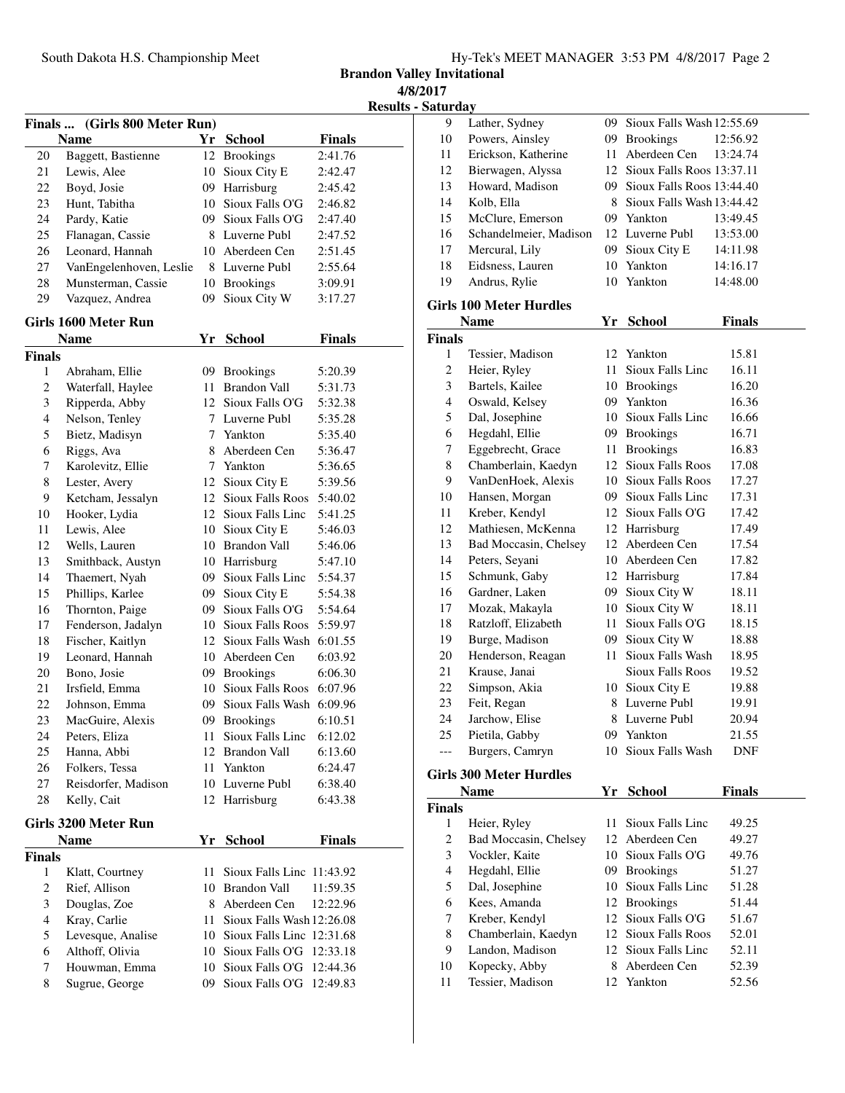**Brandon Valley Invitational 4/8/2017**

**Results - Saturday**

|               | Finals  (Girls 800 Meter Run) |      |                              |               |
|---------------|-------------------------------|------|------------------------------|---------------|
|               | <b>Name</b>                   |      | Yr School                    | <b>Finals</b> |
| 20            | Baggett, Bastienne            | 12   | <b>Brookings</b>             | 2:41.76       |
| 21            | Lewis, Alee                   | 10   | Sioux City E                 | 2:42.47       |
| 22            | Boyd, Josie                   |      | 09 Harrisburg                | 2:45.42       |
| 23            | Hunt, Tabitha                 |      | 10 Sioux Falls O'G           | 2:46.82       |
| 24            | Pardy, Katie                  |      | 09 Sioux Falls O'G           | 2:47.40       |
| 25            | Flanagan, Cassie              |      | 8 Luverne Publ               | 2:47.52       |
| 26            | Leonard, Hannah               |      | 10 Aberdeen Cen              | 2:51.45       |
| 27            | VanEngelenhoven, Leslie       |      | 8 Luverne Publ               | 2:55.64       |
| 28            | Munsterman, Cassie            |      | 10 Brookings                 | 3:09.91       |
| 29            | Vazquez, Andrea               | 09   | Sioux City W                 | 3:17.27       |
|               | Girls 1600 Meter Run          |      |                              |               |
|               | <b>Name</b>                   |      | Yr School                    | <b>Finals</b> |
| <b>Finals</b> |                               |      |                              |               |
| 1             | Abraham, Ellie                |      | 09 Brookings                 | 5:20.39       |
| 2             | Waterfall, Haylee             | 11-  | <b>Brandon Vall</b>          | 5:31.73       |
| 3             | Ripperda, Abby                |      | 12 Sioux Falls O'G           | 5:32.38       |
| 4             | Nelson, Tenley                |      | 7 Luverne Publ               | 5:35.28       |
| 5             | Bietz, Madisyn                |      | 7 Yankton                    | 5:35.40       |
| 6             | Riggs, Ava                    |      | 8 Aberdeen Cen               | 5:36.47       |
| 7             | Karolevitz, Ellie             |      | 7 Yankton                    | 5:36.65       |
| 8             | Lester, Avery                 |      | 12 Sioux City E              | 5:39.56       |
| 9             | Ketcham, Jessalyn             |      | 12 Sioux Falls Roos          | 5:40.02       |
| 10            | Hooker, Lydia                 |      | 12 Sioux Falls Linc          | 5:41.25       |
| 11            | Lewis, Alee                   |      | 10 Sioux City E              | 5:46.03       |
| 12            | Wells, Lauren                 |      | 10 Brandon Vall              | 5:46.06       |
| 13            | Smithback, Austyn             |      | 10 Harrisburg                | 5:47.10       |
| 14            | Thaemert, Nyah                |      | 09 Sioux Falls Linc          | 5:54.37       |
| 15            | Phillips, Karlee              |      | 09 Sioux City E              | 5:54.38       |
| 16            | Thornton, Paige               |      | 09 Sioux Falls O'G           | 5:54.64       |
| 17            | Fenderson, Jadalyn            |      | 10 Sioux Falls Roos          | 5:59.97       |
| 18            | Fischer, Kaitlyn              |      | 12 Sioux Falls Wash          | 6:01.55       |
| 19            | Leonard, Hannah               |      | 10 Aberdeen Cen              | 6:03.92       |
| 20            | Bono, Josie                   |      | 09 Brookings                 | 6:06.30       |
| 21            | Irsfield, Emma                |      | 10 Sioux Falls Roos          | 6:07.96       |
| 22            | Johnson, Emma                 |      | 09 Sioux Falls Wash          | 6:09.96       |
| 23            | MacGuire, Alexis              |      | 09 Brookings                 | 6:10.51       |
| 24            | Peters, Eliza                 | 11   | Sioux Falls Linc             | 6:12.02       |
| 25            | Hanna, Abbi                   |      | 12 Brandon Vall              | 6:13.60       |
| 26            | Folkers, Tessa                | 11   | Yankton                      | 6:24.47       |
| 27            | Reisdorfer, Madison           |      | 10 Luverne Publ              | 6:38.40       |
| 28            | Kelly, Cait                   |      | 12 Harrisburg                | 6:43.38       |
|               | Girls 3200 Meter Run          |      |                              |               |
|               | Name                          | Yr   | <b>School</b>                | <b>Finals</b> |
| <b>Finals</b> |                               |      |                              |               |
| 1             | Klatt, Courtney               | 11   | Sioux Falls Linc 11:43.92    |               |
| $\mathbf{2}$  | Rief, Allison                 |      | 10 Brandon Vall              | 11:59.35      |
| 3             | Douglas, Zoe                  |      | 8 Aberdeen Cen               | 12:22.96      |
| 4             | Kray, Carlie                  | 11 - | Sioux Falls Wash 12:26.08    |               |
| 5             | Levesque, Analise             |      | 10 Sioux Falls Line 12:31.68 |               |
| 6             | Althoff, Olivia               | 10   | Sioux Falls O'G 12:33.18     |               |
| 7             | Houwman, Emma                 | 10   | Sioux Falls O'G              | 12:44.36      |
| 8             | Sugrue, George                | 09   | Sioux Falls O'G              | 12:49.83      |
|               |                               |      |                              |               |

| 9<br>Lather, Sydney<br>09<br>Sioux Falls Wash 12:55.69<br>Powers, Ainsley<br>09<br>10<br><b>Brookings</b><br>Erickson, Katherine<br>Aberdeen Cen<br>11<br>11<br>12<br>Bierwagen, Alyssa<br>12<br>Sioux Falls Roos 13:37.11<br>13<br>Howard, Madison<br>09 Sioux Falls Roos 13:44.40<br>14<br>Kolb, Ella<br>8 Sioux Falls Wash 13:44.42<br>15<br>McClure, Emerson<br>09 Yankton<br>16<br>Schandelmeier, Madison<br>12 Luverne Publ<br>17<br>Mercural, Lily<br>09 Sioux City E<br>18<br>Eidsness, Lauren<br>10<br>Yankton<br>19<br>Andrus, Rylie<br>10<br>Yankton<br><b>Girls 100 Meter Hurdles</b><br><b>Name</b><br>Yr School<br>Finals<br>Tessier, Madison<br>12 Yankton<br>1<br>Sioux Falls Linc<br>2<br>Heier, Ryley<br>11 -<br>3<br>Bartels, Kailee<br>10 Brookings | 12:56.92<br>13:24.74<br>13:49.45<br>13:53.00<br>14:11.98<br>14:16.17<br>14:48.00<br>Finals<br>15.81 |
|-------------------------------------------------------------------------------------------------------------------------------------------------------------------------------------------------------------------------------------------------------------------------------------------------------------------------------------------------------------------------------------------------------------------------------------------------------------------------------------------------------------------------------------------------------------------------------------------------------------------------------------------------------------------------------------------------------------------------------------------------------------------------|-----------------------------------------------------------------------------------------------------|
|                                                                                                                                                                                                                                                                                                                                                                                                                                                                                                                                                                                                                                                                                                                                                                         |                                                                                                     |
|                                                                                                                                                                                                                                                                                                                                                                                                                                                                                                                                                                                                                                                                                                                                                                         |                                                                                                     |
|                                                                                                                                                                                                                                                                                                                                                                                                                                                                                                                                                                                                                                                                                                                                                                         |                                                                                                     |
|                                                                                                                                                                                                                                                                                                                                                                                                                                                                                                                                                                                                                                                                                                                                                                         |                                                                                                     |
|                                                                                                                                                                                                                                                                                                                                                                                                                                                                                                                                                                                                                                                                                                                                                                         |                                                                                                     |
|                                                                                                                                                                                                                                                                                                                                                                                                                                                                                                                                                                                                                                                                                                                                                                         |                                                                                                     |
|                                                                                                                                                                                                                                                                                                                                                                                                                                                                                                                                                                                                                                                                                                                                                                         |                                                                                                     |
|                                                                                                                                                                                                                                                                                                                                                                                                                                                                                                                                                                                                                                                                                                                                                                         |                                                                                                     |
|                                                                                                                                                                                                                                                                                                                                                                                                                                                                                                                                                                                                                                                                                                                                                                         |                                                                                                     |
|                                                                                                                                                                                                                                                                                                                                                                                                                                                                                                                                                                                                                                                                                                                                                                         |                                                                                                     |
|                                                                                                                                                                                                                                                                                                                                                                                                                                                                                                                                                                                                                                                                                                                                                                         |                                                                                                     |
|                                                                                                                                                                                                                                                                                                                                                                                                                                                                                                                                                                                                                                                                                                                                                                         |                                                                                                     |
|                                                                                                                                                                                                                                                                                                                                                                                                                                                                                                                                                                                                                                                                                                                                                                         |                                                                                                     |
|                                                                                                                                                                                                                                                                                                                                                                                                                                                                                                                                                                                                                                                                                                                                                                         |                                                                                                     |
|                                                                                                                                                                                                                                                                                                                                                                                                                                                                                                                                                                                                                                                                                                                                                                         |                                                                                                     |
|                                                                                                                                                                                                                                                                                                                                                                                                                                                                                                                                                                                                                                                                                                                                                                         | 16.11                                                                                               |
|                                                                                                                                                                                                                                                                                                                                                                                                                                                                                                                                                                                                                                                                                                                                                                         | 16.20                                                                                               |
| $\overline{\mathcal{L}}$<br>Oswald, Kelsey<br>09 Yankton                                                                                                                                                                                                                                                                                                                                                                                                                                                                                                                                                                                                                                                                                                                | 16.36                                                                                               |
| 5<br>10 Sioux Falls Linc<br>Dal, Josephine                                                                                                                                                                                                                                                                                                                                                                                                                                                                                                                                                                                                                                                                                                                              | 16.66                                                                                               |
| 6<br>Hegdahl, Ellie<br>09 Brookings                                                                                                                                                                                                                                                                                                                                                                                                                                                                                                                                                                                                                                                                                                                                     | 16.71                                                                                               |
| 7<br>Eggebrecht, Grace<br>11 Brookings                                                                                                                                                                                                                                                                                                                                                                                                                                                                                                                                                                                                                                                                                                                                  | 16.83                                                                                               |
| 8<br>Chamberlain, Kaedyn<br>12 Sioux Falls Roos                                                                                                                                                                                                                                                                                                                                                                                                                                                                                                                                                                                                                                                                                                                         | 17.08                                                                                               |
| 9<br>VanDenHoek, Alexis<br>10 Sioux Falls Roos                                                                                                                                                                                                                                                                                                                                                                                                                                                                                                                                                                                                                                                                                                                          | 17.27                                                                                               |
| 10<br>Hansen, Morgan<br>09 Sioux Falls Linc                                                                                                                                                                                                                                                                                                                                                                                                                                                                                                                                                                                                                                                                                                                             | 17.31                                                                                               |
| 11<br>Kreber, Kendyl<br>12 Sioux Falls O'G                                                                                                                                                                                                                                                                                                                                                                                                                                                                                                                                                                                                                                                                                                                              | 17.42                                                                                               |
| 12<br>Mathiesen, McKenna<br>12 Harrisburg                                                                                                                                                                                                                                                                                                                                                                                                                                                                                                                                                                                                                                                                                                                               | 17.49                                                                                               |
| 13<br>12 Aberdeen Cen<br>Bad Moccasin, Chelsey                                                                                                                                                                                                                                                                                                                                                                                                                                                                                                                                                                                                                                                                                                                          | 17.54                                                                                               |
| 10 Aberdeen Cen<br>14<br>Peters, Seyani                                                                                                                                                                                                                                                                                                                                                                                                                                                                                                                                                                                                                                                                                                                                 | 17.82                                                                                               |
| 15<br>Schmunk, Gaby<br>12 Harrisburg                                                                                                                                                                                                                                                                                                                                                                                                                                                                                                                                                                                                                                                                                                                                    | 17.84                                                                                               |
| 16<br>Gardner, Laken<br>09 Sioux City W                                                                                                                                                                                                                                                                                                                                                                                                                                                                                                                                                                                                                                                                                                                                 | 18.11                                                                                               |
| 10 Sioux City W<br>17<br>Mozak, Makayla                                                                                                                                                                                                                                                                                                                                                                                                                                                                                                                                                                                                                                                                                                                                 | 18.11                                                                                               |
| Sioux Falls O'G<br>18<br>Ratzloff, Elizabeth<br>11 -                                                                                                                                                                                                                                                                                                                                                                                                                                                                                                                                                                                                                                                                                                                    | 18.15                                                                                               |
| 19<br>Burge, Madison<br>09 Sioux City W                                                                                                                                                                                                                                                                                                                                                                                                                                                                                                                                                                                                                                                                                                                                 | 18.88                                                                                               |
|                                                                                                                                                                                                                                                                                                                                                                                                                                                                                                                                                                                                                                                                                                                                                                         |                                                                                                     |
|                                                                                                                                                                                                                                                                                                                                                                                                                                                                                                                                                                                                                                                                                                                                                                         |                                                                                                     |
| Sioux Falls Wash<br>20<br>Henderson, Reagan<br>11<br><b>Sioux Falls Roos</b>                                                                                                                                                                                                                                                                                                                                                                                                                                                                                                                                                                                                                                                                                            | 18.95                                                                                               |
| Krause, Janai<br>21                                                                                                                                                                                                                                                                                                                                                                                                                                                                                                                                                                                                                                                                                                                                                     | 19.52                                                                                               |
| $22\,$<br>Simpson, Akia<br>10 Sioux City E<br>8 Luverne Publ                                                                                                                                                                                                                                                                                                                                                                                                                                                                                                                                                                                                                                                                                                            | 19.88                                                                                               |
| 23<br>Feit, Regan                                                                                                                                                                                                                                                                                                                                                                                                                                                                                                                                                                                                                                                                                                                                                       | 19.91                                                                                               |
| 24<br>Jarchow, Elise<br>8 Luverne Publ                                                                                                                                                                                                                                                                                                                                                                                                                                                                                                                                                                                                                                                                                                                                  | 20.94                                                                                               |
| 25<br>Pietila, Gabby<br>09<br>Yankton<br>Burgers, Camryn<br>Sioux Falls Wash<br>10                                                                                                                                                                                                                                                                                                                                                                                                                                                                                                                                                                                                                                                                                      | 21.55<br>DNF                                                                                        |
|                                                                                                                                                                                                                                                                                                                                                                                                                                                                                                                                                                                                                                                                                                                                                                         |                                                                                                     |
|                                                                                                                                                                                                                                                                                                                                                                                                                                                                                                                                                                                                                                                                                                                                                                         |                                                                                                     |
| <b>Name</b><br>Yr<br><b>School</b>                                                                                                                                                                                                                                                                                                                                                                                                                                                                                                                                                                                                                                                                                                                                      | <b>Finals</b>                                                                                       |
| 11<br>Sioux Falls Linc<br>1                                                                                                                                                                                                                                                                                                                                                                                                                                                                                                                                                                                                                                                                                                                                             | 49.25                                                                                               |
| Heier, Ryley<br>12 Aberdeen Cen                                                                                                                                                                                                                                                                                                                                                                                                                                                                                                                                                                                                                                                                                                                                         |                                                                                                     |
| $\mathbf{2}$<br>Bad Moccasin, Chelsey<br>10                                                                                                                                                                                                                                                                                                                                                                                                                                                                                                                                                                                                                                                                                                                             | 49.27                                                                                               |
| 3<br>Vockler, Kaite<br>Sioux Falls O'G                                                                                                                                                                                                                                                                                                                                                                                                                                                                                                                                                                                                                                                                                                                                  | 49.76                                                                                               |
| $\overline{\mathcal{L}}$<br>Hegdahl, Ellie<br>09 Brookings                                                                                                                                                                                                                                                                                                                                                                                                                                                                                                                                                                                                                                                                                                              | 51.27                                                                                               |
| <b>Girls 300 Meter Hurdles</b><br>Finals<br>5<br>10 Sioux Falls Linc<br>Dal, Josephine                                                                                                                                                                                                                                                                                                                                                                                                                                                                                                                                                                                                                                                                                  | 51.28                                                                                               |
| 6<br>Kees, Amanda<br><b>Brookings</b><br>12<br>12 Sioux Falls O'G<br>7                                                                                                                                                                                                                                                                                                                                                                                                                                                                                                                                                                                                                                                                                                  | 51.44<br>51.67                                                                                      |
| Kreber, Kendyl<br>8<br>Chamberlain, Kaedyn<br>12 Sioux Falls Roos                                                                                                                                                                                                                                                                                                                                                                                                                                                                                                                                                                                                                                                                                                       | 52.01                                                                                               |

 Kopecky, Abby 8 Aberdeen Cen 52.39 Tessier, Madison 12 Yankton 52.56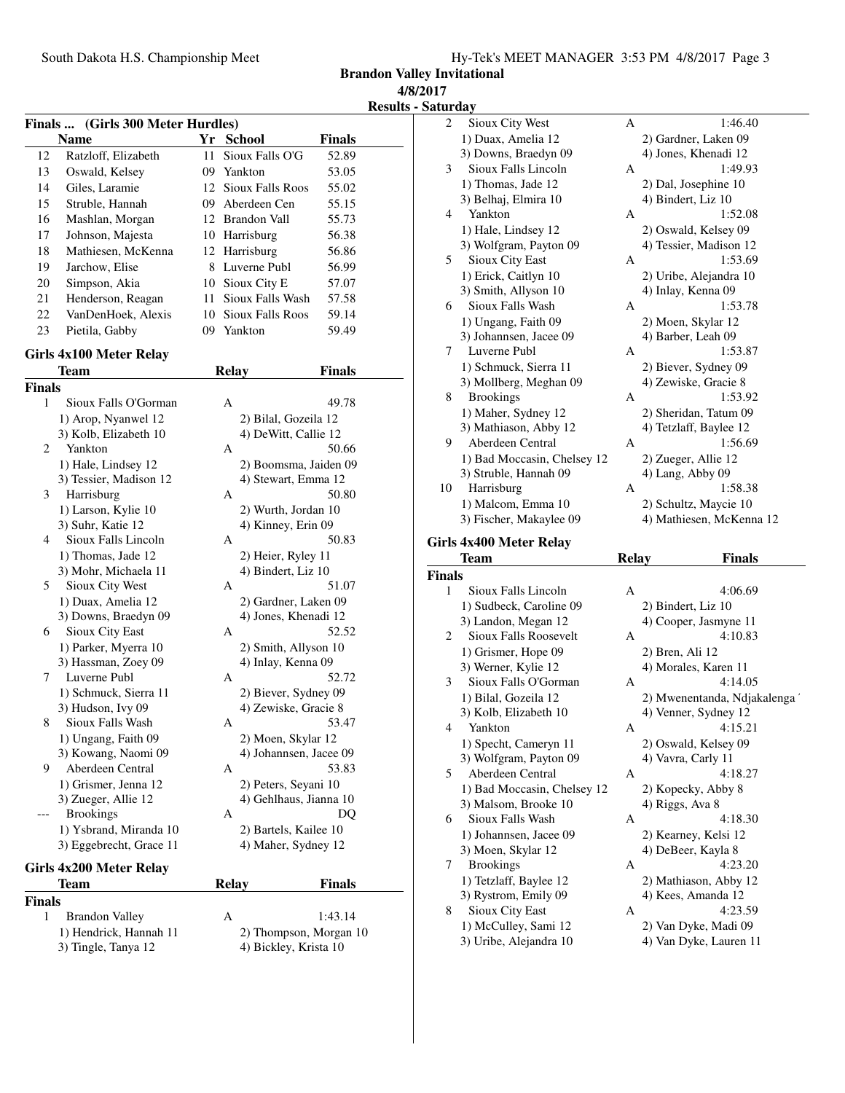**Brandon Valley Invitational**

**4/8/2017**

**Results - Saturday**

|               | Finals  (Girls 300 Meter Hurdles)        |    |                                           |               |
|---------------|------------------------------------------|----|-------------------------------------------|---------------|
|               | <b>Name</b>                              |    | Yr School                                 | <b>Finals</b> |
| 12            | Ratzloff, Elizabeth                      | 11 | Sioux Falls O'G                           | 52.89         |
| 13            | Oswald, Kelsey                           |    | 09 Yankton                                | 53.05         |
| 14            | Giles, Laramie                           |    | 12 Sioux Falls Roos                       | 55.02         |
| 15            | Struble, Hannah                          |    | 09 Aberdeen Cen                           | 55.15         |
| 16            | Mashlan, Morgan                          |    | 12 Brandon Vall                           | 55.73         |
| 17            | Johnson, Majesta                         |    | 10 Harrisburg                             | 56.38         |
| 18            | Mathiesen, McKenna                       |    | 12 Harrisburg                             | 56.86         |
| 19            | Jarchow, Elise                           |    | 8 Luverne Publ                            | 56.99         |
| 20            | Simpson, Akia                            |    | 10 Sioux City E                           | 57.07         |
| 21            | Henderson, Reagan                        |    | 11 Sioux Falls Wash                       | 57.58         |
| 22            | VanDenHoek, Alexis                       |    | 10 Sioux Falls Roos                       | 59.14         |
| 23            | Pietila, Gabby                           |    | 09 Yankton                                | 59.49         |
|               |                                          |    |                                           |               |
|               | Girls 4x100 Meter Relay                  |    |                                           |               |
|               | Team                                     |    | <b>Relay</b>                              | Finals        |
| <b>Finals</b> |                                          |    |                                           |               |
| 1             | Sioux Falls O'Gorman                     |    | А                                         | 49.78         |
|               | 1) Arop, Nyanwel 12                      |    | 2) Bilal, Gozeila 12                      |               |
|               | 3) Kolb, Elizabeth 10                    |    | 4) DeWitt, Callie 12                      |               |
| 2             | Yankton                                  |    | А                                         | 50.66         |
|               | 1) Hale, Lindsey 12                      |    | 2) Boomsma, Jaiden 09                     |               |
|               | 3) Tessier, Madison 12                   |    | 4) Stewart, Emma 12                       |               |
| 3             | Harrisburg                               |    | А                                         | 50.80         |
|               | 1) Larson, Kylie 10<br>3) Suhr, Katie 12 |    | 2) Wurth, Jordan 10<br>4) Kinney, Erin 09 |               |
| 4             | Sioux Falls Lincoln                      |    | А                                         | 50.83         |
|               | 1) Thomas, Jade 12                       |    | 2) Heier, Ryley 11                        |               |
|               | 3) Mohr, Michaela 11                     |    | 4) Bindert, Liz 10                        |               |
| 5             | Sioux City West                          |    | А                                         | 51.07         |
|               | 1) Duax, Amelia 12                       |    | 2) Gardner, Laken 09                      |               |
|               | 3) Downs, Braedyn 09                     |    | 4) Jones, Khenadi 12                      |               |
| 6             | Sioux City East                          |    | А                                         | 52.52         |
|               | 1) Parker, Myerra 10                     |    | 2) Smith, Allyson 10                      |               |
|               | 3) Hassman, Zoey 09                      |    | 4) Inlay, Kenna 09                        |               |
| 7             | Luverne Publ                             |    | А                                         | 52.72         |
|               | 1) Schmuck, Sierra 11                    |    | 2) Biever, Sydney 09                      |               |
|               | 3) Hudson, Ivy 09                        |    | 4) Zewiske, Gracie 8                      |               |
| 8             | Sioux Falls Wash                         |    | Α                                         | 53.47         |
|               | 1) Ungang, Faith 09                      |    | 2) Moen, Skylar 12                        |               |
|               | 3) Kowang, Naomi 09                      |    | 4) Johannsen, Jacee 09                    |               |
| 9             | Aberdeen Central                         |    | А                                         | 53.83         |
|               | 1) Grismer, Jenna 12                     |    | 2) Peters, Seyani 10                      |               |
|               | 3) Zueger, Allie 12                      |    | 4) Gehlhaus, Jianna 10                    |               |
|               | <b>Brookings</b>                         |    | А                                         | DQ            |
|               | 1) Ysbrand, Miranda 10                   |    | 2) Bartels, Kailee 10                     |               |
|               | 3) Eggebrecht, Grace 11                  |    | 4) Maher, Sydney 12                       |               |
|               | Girls 4x200 Meter Relay                  |    |                                           |               |
|               | <b>Team</b>                              |    | <b>Relay</b>                              | Finals        |
| Finals        |                                          |    |                                           |               |
| 1             | <b>Brandon Valley</b>                    |    | Α                                         | 1:43.14       |
|               | 1) Hendrick, Hannah 11                   |    | 2) Thompson, Morgan 10                    |               |

3) Tingle, Tanya 12 4) Bickley, Krista 10

| Saturuay       |                              |              |                          |
|----------------|------------------------------|--------------|--------------------------|
| $\overline{c}$ | Sioux City West              | A            | 1:46.40                  |
|                | 1) Duax, Amelia 12           |              | 2) Gardner, Laken 09     |
|                | 3) Downs, Braedyn 09         |              | 4) Jones, Khenadi 12     |
| 3              | Sioux Falls Lincoln          | A            | 1:49.93                  |
|                | 1) Thomas, Jade 12           |              | 2) Dal, Josephine 10     |
|                | 3) Belhaj, Elmira 10         |              | 4) Bindert, Liz 10       |
| $\overline{4}$ | Yankton                      | A            | 1:52.08                  |
|                | 1) Hale, Lindsey 12          |              | 2) Oswald, Kelsey 09     |
|                | 3) Wolfgram, Payton 09       |              | 4) Tessier, Madison 12   |
| 5              | Sioux City East              | A            | 1:53.69                  |
|                | 1) Erick, Caitlyn 10         |              | 2) Uribe, Alejandra 10   |
|                | 3) Smith, Allyson 10         |              | 4) Inlay, Kenna 09       |
| 6              | Sioux Falls Wash             | A            | 1:53.78                  |
|                | 1) Ungang, Faith 09          |              | 2) Moen, Skylar 12       |
|                | 3) Johannsen, Jacee 09       |              | 4) Barber, Leah 09       |
| 7              | Luverne Publ                 | A            | 1:53.87                  |
|                | 1) Schmuck, Sierra 11        |              | 2) Biever, Sydney 09     |
|                | 3) Mollberg, Meghan 09       |              | 4) Zewiske, Gracie 8     |
| 8              | <b>Brookings</b>             | A            | 1:53.92                  |
|                | 1) Maher, Sydney 12          |              | 2) Sheridan, Tatum 09    |
|                | 3) Mathiason, Abby 12        |              | 4) Tetzlaff, Baylee 12   |
| 9              | Aberdeen Central             | A            | 1:56.69                  |
|                | 1) Bad Moccasin, Chelsey 12  |              | 2) Zueger, Allie 12      |
|                | 3) Struble, Hannah 09        |              | 4) Lang, Abby 09         |
| 10             | Harrisburg                   | A            | 1:58.38                  |
|                | 1) Malcom, Emma 10           |              | 2) Schultz, Maycie 10    |
|                | 3) Fischer, Makaylee 09      |              | 4) Mathiesen, McKenna 12 |
|                | Girls 4x400 Meter Relay      |              |                          |
|                | Team                         | <b>Relay</b> | <b>Finals</b>            |
| <b>Finals</b>  |                              |              |                          |
| 1              | Sioux Falls Lincoln          | A            | 4:06.69                  |
|                | 1) Sudbeck, Caroline 09      |              | 2) Bindert, Liz 10       |
|                | 3) Landon, Megan 12          |              | 4) Cooper, Jasmyne 11    |
| 2              | <b>Sioux Falls Roosevelt</b> | А            | 4:10.83                  |
|                |                              |              |                          |

|   | 1) Sudbeck, Caroline 09     |   | 2) Bindert, Liz 10           |
|---|-----------------------------|---|------------------------------|
|   | 3) Landon, Megan 12         |   | 4) Cooper, Jasmyne 11        |
| 2 | Sioux Falls Roosevelt       | А | 4:10.83                      |
|   | 1) Grismer, Hope 09         |   | 2) Bren, Ali 12              |
|   | 3) Werner, Kylie 12         |   | 4) Morales, Karen 11         |
| 3 | Sioux Falls O'Gorman        | A | 4:14.05                      |
|   | 1) Bilal, Gozeila 12        |   | 2) Mwenentanda, Ndjakalenga' |
|   | 3) Kolb, Elizabeth 10       |   | 4) Venner, Sydney 12         |
| 4 | Yankton                     | A | 4:15.21                      |
|   | 1) Specht, Cameryn 11       |   | 2) Oswald, Kelsey 09         |
|   | 3) Wolfgram, Payton 09      |   | 4) Vavra, Carly 11           |
| 5 | Aberdeen Central            | A | 4:18.27                      |
|   | 1) Bad Moccasin, Chelsey 12 |   | 2) Kopecky, Abby 8           |
|   | 3) Malsom, Brooke 10        |   | 4) Riggs, Ava 8              |
| 6 | Sioux Falls Wash            | A | 4:18.30                      |
|   | 1) Johannsen, Jacee 09      |   | 2) Kearney, Kelsi 12         |
|   | 3) Moen, Skylar 12          |   | 4) DeBeer, Kayla 8           |
| 7 | <b>Brookings</b>            | A | 4:23.20                      |
|   | 1) Tetzlaff, Baylee 12      |   | 2) Mathiason, Abby 12        |
|   | 3) Rystrom, Emily 09        |   | 4) Kees, Amanda 12           |
| 8 | Sioux City East             | A | 4:23.59                      |
|   | 1) McCulley, Sami 12        |   | 2) Van Dyke, Madi 09         |
|   | 3) Uribe, Alejandra 10      |   | 4) Van Dyke, Lauren 11       |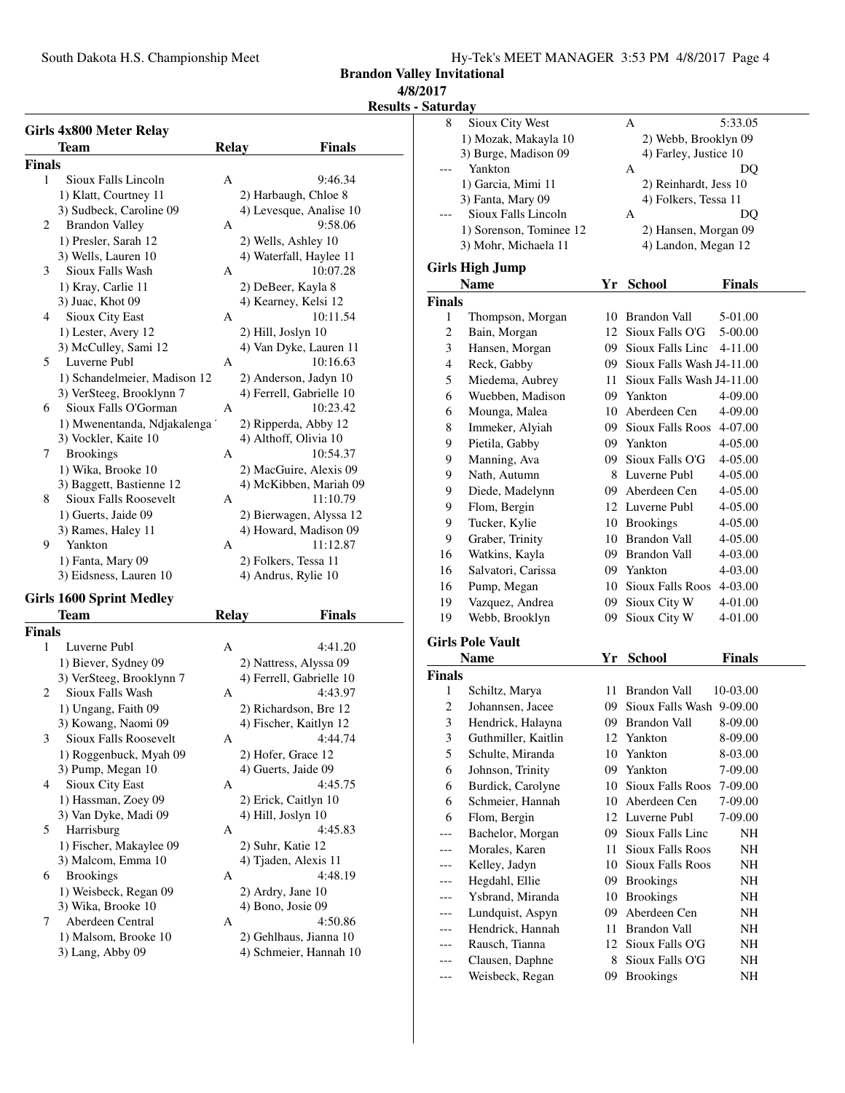**Brandon Valley Invitational**

## **4/8/2017**

**Results - Satu** 

|               | Girls 4x800 Meter Relay         |                |                          |
|---------------|---------------------------------|----------------|--------------------------|
|               | Team                            | <b>Relay</b>   | <b>Finals</b>            |
| <b>Finals</b> |                                 |                |                          |
| 1             | Sioux Falls Lincoln             | A              | 9:46.34                  |
|               | 1) Klatt, Courtney 11           |                | 2) Harbaugh, Chloe 8     |
|               | 3) Sudbeck, Caroline 09         |                | 4) Levesque, Analise 10  |
| 2             | <b>Brandon Valley</b>           | A              | 9:58.06                  |
|               | 1) Presler, Sarah 12            |                | 2) Wells, Ashley 10      |
|               | 3) Wells, Lauren 10             |                | 4) Waterfall, Haylee 11  |
| 3             | Sioux Falls Wash                | A              | 10:07.28                 |
|               | 1) Kray, Carlie 11              |                | 2) DeBeer, Kayla 8       |
|               | 3) Juac, Khot 09                |                | 4) Kearney, Kelsi 12     |
| 4             | Sioux City East                 | A              | 10:11.54                 |
|               | 1) Lester, Avery 12             |                | 2) Hill, Joslyn 10       |
|               | 3) McCulley, Sami 12            |                | 4) Van Dyke, Lauren 11   |
| 5             | Luverne Publ                    | $\overline{A}$ | 10:16.63                 |
|               | 1) Schandelmeier, Madison 12    |                | 2) Anderson, Jadyn 10    |
|               | 3) VerSteeg, Brooklynn 7        |                | 4) Ferrell, Gabrielle 10 |
| 6             | Sioux Falls O'Gorman            | $\overline{A}$ | 10:23.42                 |
|               | 1) Mwenentanda, Ndjakalenga '   |                | 2) Ripperda, Abby 12     |
|               | 3) Vockler, Kaite 10            |                | 4) Althoff, Olivia 10    |
| 7             | <b>Brookings</b>                | A              | 10:54.37                 |
|               | 1) Wika, Brooke 10              |                | 2) MacGuire, Alexis 09   |
|               | 3) Baggett, Bastienne 12        |                | 4) McKibben, Mariah 09   |
| 8             | <b>Sioux Falls Roosevelt</b>    | A              | 11:10.79                 |
|               | 1) Guerts, Jaide 09             |                | 2) Bierwagen, Alyssa 12  |
|               | 3) Rames, Haley 11              |                | 4) Howard, Madison 09    |
| 9             | Yankton                         | A              | 11:12.87                 |
|               | 1) Fanta, Mary 09               |                | 2) Folkers, Tessa 11     |
|               | 3) Eidsness, Lauren 10          |                | 4) Andrus, Rylie 10      |
|               | <b>Girls 1600 Sprint Medley</b> |                |                          |
|               |                                 |                |                          |

|                | Team                         | Relay        | <b>Finals</b>            |
|----------------|------------------------------|--------------|--------------------------|
| <b>Finals</b>  |                              |              |                          |
| 1              | Luverne Publ                 | A            | 4:41.20                  |
|                | 1) Biever, Sydney 09         |              | 2) Nattress, Alyssa 09   |
|                | 3) VerSteeg, Brooklynn 7     |              | 4) Ferrell, Gabrielle 10 |
| $\overline{c}$ | Sioux Falls Wash             | A            | 4:43.97                  |
|                | 1) Ungang, Faith 09          |              | 2) Richardson, Bre 12    |
|                | 3) Kowang, Naomi 09          |              | 4) Fischer, Kaitlyn 12   |
| 3              | <b>Sioux Falls Roosevelt</b> | $\mathsf{A}$ | 4:44.74                  |
|                | 1) Roggenbuck, Myah 09       |              | 2) Hofer, Grace 12       |
|                | 3) Pump, Megan 10            |              | 4) Guerts, Jaide 09      |
| 4              | Sioux City East              | A            | 4:45.75                  |
|                | 1) Hassman, Zoey 09          |              | 2) Erick, Caitlyn 10     |
|                | 3) Van Dyke, Madi 09         |              | 4) Hill, Joslyn 10       |
| 5              | Harrisburg                   | A            | 4:45.83                  |
|                | 1) Fischer, Makaylee 09      |              | 2) Suhr, Katie 12        |
|                | 3) Malcom, Emma 10           |              | 4) Tjaden, Alexis 11     |
| 6              | <b>Brookings</b>             | $\mathsf{A}$ | 4:48.19                  |
|                | 1) Weisbeck, Regan 09        |              | 2) Ardry, Jane 10        |
|                | 3) Wika, Brooke 10           |              | 4) Bono, Josie 09        |
| 7              | Aberdeen Central             | A            | 4:50.86                  |
|                | 1) Malsom, Brooke 10         |              | 2) Gehlhaus, Jianna 10   |
|                | $3)$ Lang, Abby 09           |              | 4) Schmeier, Hannah 10   |

| Saturday           |                                      |      |                                          |               |
|--------------------|--------------------------------------|------|------------------------------------------|---------------|
| 8                  | Sioux City West                      |      | А                                        | 5:33.05       |
|                    | 1) Mozak, Makayla 10                 |      | 2) Webb, Brooklyn 09                     |               |
|                    | 3) Burge, Madison 09                 |      | 4) Farley, Justice 10                    |               |
|                    | Yankton                              |      | А                                        | DQ            |
|                    | 1) Garcia, Mimi 11                   |      | 2) Reinhardt, Jess 10                    |               |
|                    | 3) Fanta, Mary 09                    |      | 4) Folkers, Tessa 11                     |               |
|                    | Sioux Falls Lincoln                  |      | А                                        | DO            |
|                    | 1) Sorenson, Tominee 12              |      | 2) Hansen, Morgan 09                     |               |
|                    | 3) Mohr, Michaela 11                 |      | 4) Landon, Megan 12                      |               |
|                    | <b>Girls High Jump</b>               |      |                                          |               |
|                    |                                      |      |                                          |               |
|                    | <b>Name</b>                          |      | Yr School                                | <b>Finals</b> |
| <b>Finals</b>      |                                      |      |                                          |               |
| 1                  | Thompson, Morgan                     | 10   | Brandon Vall                             | 5-01.00       |
| $\overline{c}$     | Bain, Morgan                         | 12   | Sioux Falls O'G                          | 5-00.00       |
| 3                  | Hansen, Morgan                       | 09.  | Sioux Falls Linc                         | 4-11.00       |
| $\overline{4}$     | Reck, Gabby                          | 09   | Sioux Falls Wash J4-11.00                |               |
| 5                  | Miedema, Aubrey                      | 11 - | Sioux Falls Wash J4-11.00                |               |
| 6                  | Wuebben, Madison                     |      | 09 Yankton                               | 4-09.00       |
| 6                  | Mounga, Malea                        |      | 10 Aberdeen Cen                          | 4-09.00       |
| 8                  | Immeker, Alyiah                      |      | 09 Sioux Falls Roos                      | 4-07.00       |
| 9                  | Pietila, Gabby                       |      | 09 Yankton                               | 4-05.00       |
| 9                  | Manning, Ava                         |      | 09 Sioux Falls O'G                       | 4-05.00       |
| 9                  | Nath, Autumn                         |      | 8 Luverne Publ                           | 4-05.00       |
| 9                  | Diede, Madelynn                      |      | 09 Aberdeen Cen                          | 4-05.00       |
| 9                  | Flom, Bergin                         |      | 12 Luverne Publ                          | 4-05.00       |
| 9                  | Tucker, Kylie                        |      | 10 Brookings                             | 4-05.00       |
| 9                  | Graber, Trinity                      |      | 10 Brandon Vall                          | 4-05.00       |
| 16                 | Watkins, Kayla                       |      | 09 Brandon Vall                          | 4-03.00       |
| 16                 | Salvatori, Carissa                   |      | 09 Yankton                               | 4-03.00       |
| 16                 | Pump, Megan                          |      | 10 Sioux Falls Roos                      | 4-03.00       |
| 19                 | Vazquez, Andrea                      | 09   | Sioux City W                             | 4-01.00       |
| 19                 | Webb, Brooklyn                       | 09   | Sioux City W                             | 4-01.00       |
|                    | <b>Girls Pole Vault</b>              |      |                                          |               |
|                    | <b>Name</b>                          | Yr   |                                          | <b>Finals</b> |
|                    |                                      |      | <b>School</b>                            |               |
| <b>Finals</b><br>1 |                                      |      |                                          |               |
| $\overline{c}$     | Schiltz, Marya                       | 11   | Brandon Vall<br>Sioux Falls Wash 9-09.00 | 10-03.00      |
|                    | Johannsen, Jacee                     | 09   |                                          |               |
| 3                  | Hendrick, Halayna                    |      | 09 Brandon Vall                          | 8-09.00       |
| 3<br>5             | Guthmiller, Kaitlin                  | 12   | Yankton<br>Yankton                       | 8-09.00       |
|                    | Schulte, Miranda<br>Johnson, Trinity | 10   | Yankton                                  | 8-03.00       |
| 6                  |                                      | 09   |                                          | 7-09.00       |
| 6                  | Burdick, Carolyne                    | 10   | <b>Sioux Falls Roos</b>                  | 7-09.00       |
| 6                  | Schmeier, Hannah                     | 10   | Aberdeen Cen                             | 7-09.00       |
| 6                  | Flom, Bergin                         | 12   | Luverne Publ                             | 7-09.00       |
| ---                | Bachelor, Morgan                     | 09   | Sioux Falls Linc                         | NH            |
|                    | Morales, Karen                       | 11   | <b>Sioux Falls Roos</b>                  | NH            |
| ---                | Kelley, Jadyn                        | 10   | Sioux Falls Roos                         | NH            |
| ---                | Hegdahl, Ellie                       | 09   | <b>Brookings</b>                         | NH            |
| ---                | Ysbrand, Miranda                     | 10   | <b>Brookings</b>                         | NH            |
| ---                | Lundquist, Aspyn                     | 09   | Aberdeen Cen                             | NH            |
| ---                | Hendrick, Hannah                     | 11   | <b>Brandon Vall</b>                      | NH            |
| ---                | Rausch, Tianna                       | 12   | Sioux Falls O'G                          | NH            |
| ---                | Clausen, Daphne                      | 8    | Sioux Falls O'G                          | NH            |

--- Weisbeck, Regan 09 Brookings NH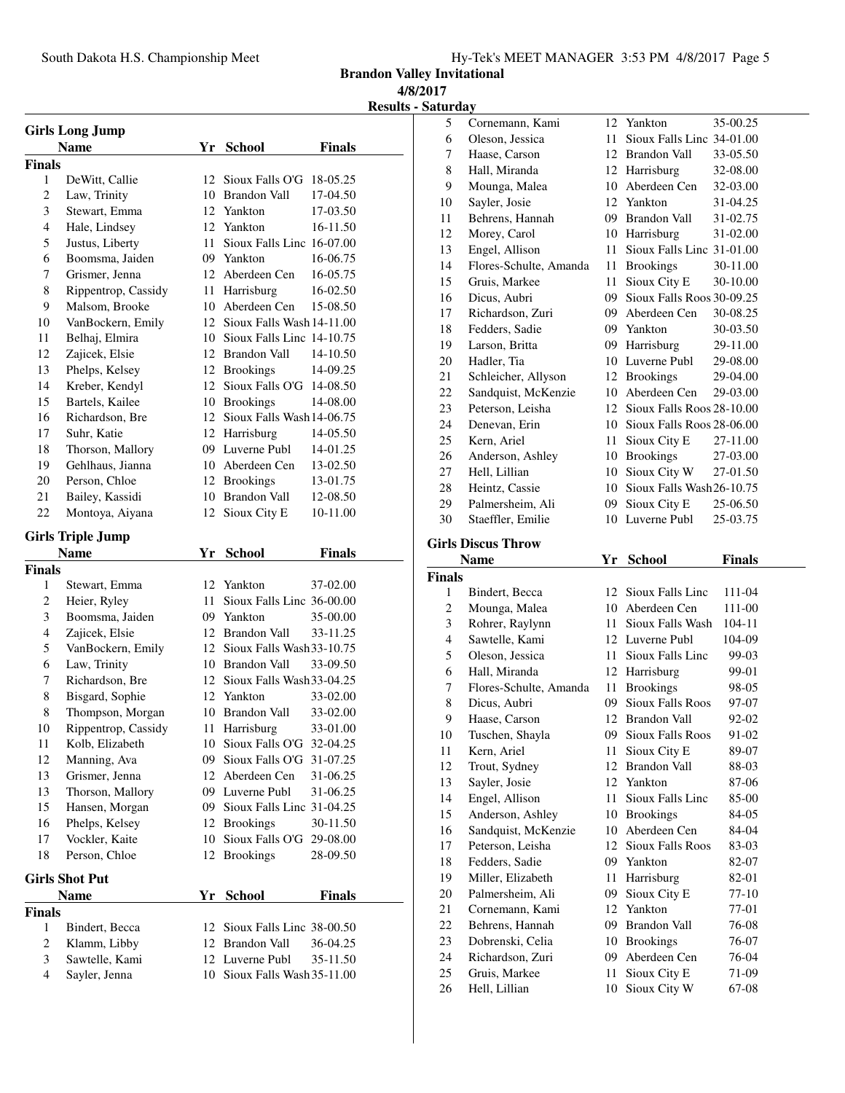**Brandon Valley Invitational**

**4/8/2017**

**Results - Saturday**

|                | <b>Girls Long Jump</b>   |      |                              |               |
|----------------|--------------------------|------|------------------------------|---------------|
|                | <b>Name</b>              |      | Yr School                    | <b>Finals</b> |
| <b>Finals</b>  |                          |      |                              |               |
| 1              | DeWitt, Callie           | 12   | Sioux Falls O'G              | 18-05.25      |
| $\overline{c}$ | Law, Trinity             |      | 10 Brandon Vall              | 17-04.50      |
| 3              | Stewart, Emma            |      | 12. Yankton                  | 17-03.50      |
| 4              | Hale, Lindsey            |      | 12 Yankton                   | 16-11.50      |
| 5              | Justus, Liberty          | 11 - | Sioux Falls Linc 16-07.00    |               |
| 6              | Boomsma, Jaiden          |      | 09 Yankton                   | 16-06.75      |
| 7              | Grismer, Jenna           |      | 12 Aberdeen Cen              | 16-05.75      |
| 8              | Rippentrop, Cassidy      |      | 11 Harrisburg                | 16-02.50      |
| 9              | Malsom, Brooke           |      | 10 Aberdeen Cen              | 15-08.50      |
| 10             | VanBockern, Emily        |      | 12 Sioux Falls Wash 14-11.00 |               |
| 11             | Belhaj, Elmira           |      | 10 Sioux Falls Linc 14-10.75 |               |
| 12             | Zajicek, Elsie           |      | 12 Brandon Vall              | 14-10.50      |
| 13             | Phelps, Kelsey           |      | 12 Brookings                 | 14-09.25      |
| 14             | Kreber, Kendyl           |      | 12 Sioux Falls O'G 14-08.50  |               |
| 15             | Bartels, Kailee          |      | 10 Brookings                 | 14-08.00      |
| 16             | Richardson, Bre          |      | 12 Sioux Falls Wash 14-06.75 |               |
| 17             | Suhr, Katie              |      | 12 Harrisburg                | 14-05.50      |
| 18             | Thorson, Mallory         |      | 09 Luverne Publ              | 14-01.25      |
| 19             | Gehlhaus, Jianna         |      | 10 Aberdeen Cen              | 13-02.50      |
| 20             | Person, Chloe            |      | 12 Brookings                 | 13-01.75      |
| 21             | Bailey, Kassidi          |      | 10 Brandon Vall              | 12-08.50      |
| 22             | Montoya, Aiyana          |      | 12 Sioux City E              | 10-11.00      |
|                | <b>Girls Triple Jump</b> |      |                              |               |
|                | Name                     | Yr   | <b>School</b>                | Finals        |
| <b>Finals</b>  |                          |      |                              |               |
| 1              | Stewart, Emma            |      | 12 Yankton                   | 37-02.00      |
| $\overline{2}$ | Heier, Ryley             | 11 - | Sioux Falls Linc 36-00.00    |               |
| 3              | Boomsma, Jaiden          |      | 09 Yankton                   | 35-00.00      |
| 4              | Zajicek, Elsie           |      | 12 Brandon Vall              | 33-11.25      |
| 5              | VanBockern, Emily        |      | 12 Sioux Falls Wash 33-10.75 |               |
| 6              | Law, Trinity             |      | 10 Brandon Vall              | 33-09.50      |
| 7              | Richardson, Bre          |      | 12 Sioux Falls Wash 33-04.25 |               |
| 8              | Bisgard, Sophie          |      | 12 Yankton                   | 33-02.00      |
| 8              | Thompson, Morgan         |      | 10 Brandon Vall              | 33-02.00      |
| 10             | Rippentrop, Cassidy      |      | 11 Harrisburg                | 33-01.00      |
| 11             | Kolb, Elizabeth          | 10   | Sioux Falls O'G              | 32-04.25      |
| 12             | Manning, Ava             | 09   | Sioux Falls O'G              | 31-07.25      |
| 13             | Grismer, Jenna           | 12   | Aberdeen Cen                 | 31-06.25      |
| 13             | Thorson, Mallory         |      | 09 Luverne Publ              | 31-06.25      |
| 15             | Hansen, Morgan           |      | 09 Sioux Falls Linc 31-04.25 |               |
| 16             | Phelps, Kelsey           |      | 12 Brookings                 | 30-11.50      |
| 17             | Vockler, Kaite           | 10   | Sioux Falls O'G 29-08.00     |               |
| 18             | Person, Chloe            | 12   | <b>Brookings</b>             | 28-09.50      |
|                | <b>Girls Shot Put</b>    |      |                              |               |
|                | <b>Name</b>              | Yr   | <b>School</b>                | <b>Finals</b> |
| <b>Finals</b>  |                          |      |                              |               |
| 1              | Bindert, Becca           | 12   | Sioux Falls Linc 38-00.50    |               |
| 2              | Klamm, Libby             |      | 12 Brandon Vall              | 36-04.25      |
| 3              | Sawtelle, Kami           |      | 12 Luverne Publ              | 35-11.50      |
| 4              | Sayler, Jenna            | 10   | Sioux Falls Wash 35-11.00    |               |

| 5                        | Cornemann, Kami                | 12       | Yankton                      | 35-00.25       |
|--------------------------|--------------------------------|----------|------------------------------|----------------|
| 6                        | Oleson, Jessica                | 11       | Sioux Falls Linc 34-01.00    |                |
| 7                        | Haase, Carson                  |          | 12 Brandon Vall              | 33-05.50       |
| 8                        | Hall, Miranda                  |          | 12 Harrisburg                | 32-08.00       |
| 9                        | Mounga, Malea                  |          | 10 Aberdeen Cen              | 32-03.00       |
| 10                       | Sayler, Josie                  |          | 12 Yankton                   | 31-04.25       |
| 11                       | Behrens, Hannah                |          | 09 Brandon Vall              | 31-02.75       |
| 12                       | Morey, Carol                   |          | 10 Harrisburg                | 31-02.00       |
| 13                       | Engel, Allison                 | 11       | Sioux Falls Linc 31-01.00    |                |
| 14                       | Flores-Schulte, Amanda         | 11       | <b>Brookings</b>             | 30-11.00       |
| 15                       | Gruis, Markee                  | 11       | Sioux City E                 | 30-10.00       |
| 16                       | Dicus, Aubri                   | 09       | Sioux Falls Roos 30-09.25    |                |
| 17                       | Richardson, Zuri               | 09.      | Aberdeen Cen                 | 30-08.25       |
| 18                       | Fedders, Sadie                 |          | 09 Yankton                   | 30-03.50       |
| 19                       | Larson, Britta                 |          | 09 Harrisburg                | 29-11.00       |
| 20                       | Hadler, Tia                    |          | 10 Luverne Publ              | 29-08.00       |
| 21                       | Schleicher, Allyson            |          | 12 Brookings                 | 29-04.00       |
| 22                       | Sandquist, McKenzie            |          | 10 Aberdeen Cen              | 29-03.00       |
| 23                       | Peterson, Leisha               |          | 12 Sioux Falls Roos 28-10.00 |                |
| 24                       | Denevan, Erin                  |          | 10 Sioux Falls Roos 28-06.00 |                |
| 25                       | Kern, Ariel                    | 11       | Sioux City E                 | 27-11.00       |
| 26                       | Anderson, Ashley               |          | 10 Brookings                 | 27-03.00       |
| 27                       | Hell, Lillian                  | 10       | Sioux City W                 | 27-01.50       |
| 28                       | Heintz, Cassie                 |          | 10 Sioux Falls Wash 26-10.75 |                |
| 29                       | Palmersheim, Ali               | 09       | Sioux City E                 | 25-06.50       |
| 30                       | Staeffler, Emilie              |          | 10 Luverne Publ              | 25-03.75       |
|                          | <b>Girls Discus Throw</b>      |          |                              |                |
|                          |                                |          |                              |                |
|                          |                                |          |                              |                |
|                          | <b>Name</b>                    |          | Yr School                    | <b>Finals</b>  |
| <b>Finals</b>            |                                |          |                              |                |
| 1                        | Bindert, Becca                 | 12       | Sioux Falls Linc             | 111-04         |
| $\boldsymbol{2}$         | Mounga, Malea                  | 10       | Aberdeen Cen                 | 111-00         |
| 3                        | Rohrer, Raylynn                | 11-      | Sioux Falls Wash             | 104-11         |
| $\overline{\mathcal{L}}$ | Sawtelle, Kami                 |          | 12 Luverne Publ              | 104-09         |
| 5                        | Oleson, Jessica                | 11 -     | Sioux Falls Linc             | 99-03          |
| 6                        | Hall, Miranda                  |          | 12 Harrisburg                | 99-01          |
| 7                        | Flores-Schulte, Amanda         | 11       | <b>Brookings</b>             | 98-05          |
| 8                        | Dicus, Aubri                   | 09       | <b>Sioux Falls Roos</b>      | 97-07          |
| 9                        | Haase, Carson                  |          | 12 Brandon Vall              | 92-02          |
| 10                       | Tuschen, Shayla                |          | 09 Sioux Falls Roos          | 91-02          |
| 11                       | Kern, Ariel                    | 11       | Sioux City E                 | 89-07          |
| 12                       | Trout, Sydney                  | 12       | <b>Brandon Vall</b>          | 88-03          |
| 13                       | Sayler, Josie                  | 12       | Yankton                      | 87-06          |
| 14                       | Engel, Allison                 | 11       | Sioux Falls Linc             | 85-00          |
| 15                       | Anderson, Ashley               | 10       | <b>Brookings</b>             | 84-05          |
| 16                       | Sandquist, McKenzie            | 10       | Aberdeen Cen                 | 84-04          |
| 17                       | Peterson, Leisha               | 12       | <b>Sioux Falls Roos</b>      | 83-03          |
| 18                       | Fedders, Sadie                 | 09       | Yankton                      | 82-07          |
| 19                       | Miller, Elizabeth              | 11       | Harrisburg                   | 82-01          |
| 20                       | Palmersheim, Ali               | 09       | Sioux City E                 | 77-10          |
| 21                       | Cornemann, Kami                | 12       | Yankton                      | 77-01          |
| 22                       | Behrens, Hannah                | 09       | <b>Brandon Vall</b>          | 76-08          |
| 23                       | Dobrenski, Celia               | 10       | <b>Brookings</b>             | 76-07          |
| 24                       | Richardson, Zuri               | 09       | Aberdeen Cen                 | 76-04          |
| 25<br>26                 | Gruis, Markee<br>Hell, Lillian | 11<br>10 | Sioux City E<br>Sioux City W | 71-09<br>67-08 |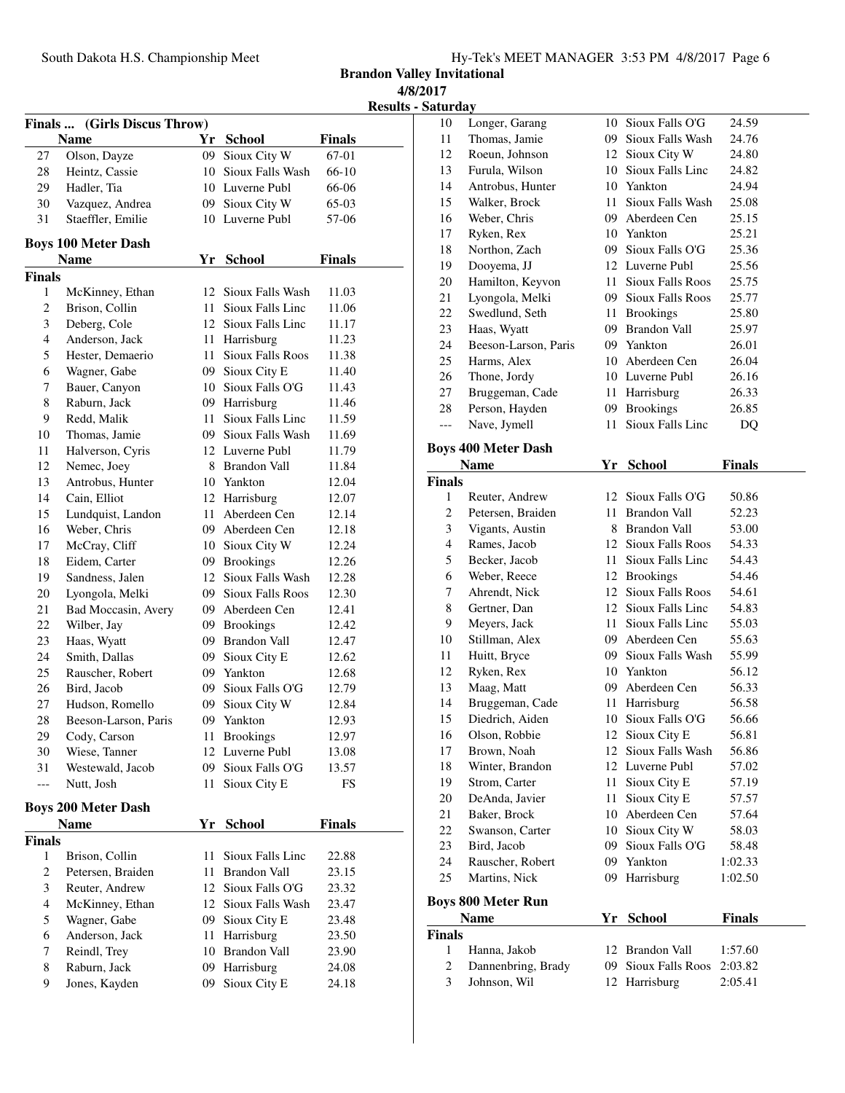**Brandon Valley Invitational 4/8/2017**

**Results - Saturday**

|                |                                           |          |                                    |               | <b>Kesuit</b> |
|----------------|-------------------------------------------|----------|------------------------------------|---------------|---------------|
|                | Finals  (Girls Discus Throw)              |          |                                    |               |               |
|                | Name                                      |          | Yr School                          | <b>Finals</b> |               |
| 27             | Olson, Dayze                              | 09       | Sioux City W                       | 67-01         |               |
| 28             | Heintz, Cassie                            | 10       | Sioux Falls Wash                   | 66-10         |               |
| 29             | Hadler, Tia                               |          | 10 Luverne Publ                    | 66-06         |               |
| 30             | Vazquez, Andrea                           |          | 09 Sioux City W                    | $65-03$       |               |
| 31             | Staeffler, Emilie                         |          | 10 Luverne Publ                    | 57-06         |               |
|                | <b>Boys 100 Meter Dash</b>                |          |                                    |               |               |
|                | <b>Name</b>                               |          | Yr School                          | <b>Finals</b> |               |
| <b>Finals</b>  |                                           |          |                                    |               |               |
| 1              | McKinney, Ethan                           |          | 12 Sioux Falls Wash                | 11.03         |               |
| 2              | Brison, Collin                            | $11 -$   | Sioux Falls Linc                   | 11.06         |               |
| 3              | Deberg, Cole                              |          | 12 Sioux Falls Linc                | 11.17         |               |
| $\overline{4}$ | Anderson, Jack                            | 11       | Harrisburg                         | 11.23         |               |
| 5              | Hester, Demaerio                          | 11       | <b>Sioux Falls Roos</b>            | 11.38         |               |
| 6              | Wagner, Gabe                              |          | 09 Sioux City E                    | 11.40         |               |
| 7              | Bauer, Canyon                             |          | 10 Sioux Falls O'G                 | 11.43         |               |
| 8              | Raburn, Jack                              |          | 09 Harrisburg                      | 11.46         |               |
| 9              | Redd, Malik                               | 11       | Sioux Falls Linc                   | 11.59         |               |
| 10             | Thomas, Jamie                             |          | 09 Sioux Falls Wash                | 11.69         |               |
| 11             | Halverson, Cyris                          |          | 12 Luverne Publ                    | 11.79         |               |
| 12             | Nemec, Joey                               |          | 8 Brandon Vall                     | 11.84         |               |
| 13             | Antrobus, Hunter                          |          | 10 Yankton                         | 12.04         |               |
| 14             | Cain, Elliot                              |          | 12 Harrisburg                      | 12.07         |               |
| 15             | Lundquist, Landon                         | 11       | Aberdeen Cen                       | 12.14         |               |
| 16             | Weber, Chris                              |          | 09 Aberdeen Cen                    | 12.18         |               |
| 17             | McCray, Cliff                             |          | 10 Sioux City W                    | 12.24         |               |
| 18             | Eidem, Carter                             |          | 09 Brookings                       | 12.26         |               |
| 19             | Sandness, Jalen                           |          | 12 Sioux Falls Wash                | 12.28         |               |
| 20             | Lyongola, Melki                           |          | 09 Sioux Falls Roos                | 12.30         |               |
| 21             | Bad Moccasin, Avery                       |          | 09 Aberdeen Cen                    | 12.41         |               |
| 22             | Wilber, Jay                               |          | 09 Brookings                       | 12.42         |               |
| 23             | Haas, Wyatt                               |          | 09 Brandon Vall                    | 12.47         |               |
| 24             | Smith, Dallas                             | 09       | Sioux City E                       | 12.62         |               |
| 25             | Rauscher, Robert                          |          | 09 Yankton                         | 12.68         |               |
| 26             | Bird, Jacob                               | 09       | Sioux Falls O'G                    | 12.79         |               |
| 27             | Hudson, Romello                           | 09       | Sioux City W                       | 12.84         |               |
| 28             | Beeson-Larson, Paris                      | 09       | Yankton                            | 12.93         |               |
| 29             | Cody, Carson                              | 11       | <b>Brookings</b>                   | 12.97         |               |
| 30             | Wiese, Tanner                             | 12       | Luverne Publ                       | 13.08         |               |
| 31             | Westewald, Jacob                          | 09       | Sioux Falls O'G                    | 13.57         |               |
|                | Nutt, Josh                                | 11       | Sioux City E                       | FS            |               |
|                |                                           |          |                                    |               |               |
|                | <b>Boys 200 Meter Dash</b><br><b>Name</b> | Yr       |                                    | <b>Finals</b> |               |
|                |                                           |          | <b>School</b>                      |               |               |
| Finals<br>1    | Brison, Collin                            | 11       | Sioux Falls Linc                   |               |               |
| $\overline{c}$ |                                           |          |                                    | 22.88         |               |
| 3              | Petersen, Braiden<br>Reuter, Andrew       | 11       | Brandon Vall<br>12 Sioux Falls O'G | 23.15         |               |
| 4              |                                           |          | Sioux Falls Wash                   | 23.32         |               |
|                | McKinney, Ethan                           | 12<br>09 |                                    | 23.47         |               |
| 5              | Wagner, Gabe                              |          | Sioux City E                       | 23.48         |               |
| 6              | Anderson, Jack                            | 11       | Harrisburg                         | 23.50         |               |
| 7              | Reindl, Trey                              | 10       | Brandon Vall                       | 23.90         |               |
| 8<br>9         | Raburn, Jack                              | 09       | Harrisburg                         | 24.08         |               |
|                | Jones, Kayden                             | 09       | Sioux City E                       | 24.18         |               |
|                |                                           |          |                                    |               |               |

| Satul uay      |                                |    |                              |                |  |
|----------------|--------------------------------|----|------------------------------|----------------|--|
| 10             | Longer, Garang                 | 10 | Sioux Falls O'G              | 24.59          |  |
| 11             | Thomas, Jamie                  | 09 | Sioux Falls Wash             | 24.76          |  |
| 12             | Roeun, Johnson                 |    | 12 Sioux City W              | 24.80          |  |
| 13             | Furula, Wilson                 | 10 | Sioux Falls Linc             | 24.82          |  |
| 14             | Antrobus, Hunter               | 10 | Yankton                      | 24.94          |  |
| 15             | Walker, Brock                  | 11 | Sioux Falls Wash             | 25.08          |  |
| 16             | Weber, Chris                   | 09 | Aberdeen Cen                 | 25.15          |  |
| 17             | Ryken, Rex                     |    | 10 Yankton                   | 25.21          |  |
| 18             | Northon, Zach                  | 09 | Sioux Falls O'G              | 25.36          |  |
| 19             | Dooyema, JJ                    |    | 12 Luverne Publ              | 25.56          |  |
| 20             | Hamilton, Keyvon               | 11 | <b>Sioux Falls Roos</b>      | 25.75          |  |
| 21             | Lyongola, Melki                | 09 | Sioux Falls Roos             | 25.77          |  |
| 22             | Swedlund, Seth                 | 11 | <b>Brookings</b>             | 25.80          |  |
| 23             | Haas, Wyatt                    |    | 09 Brandon Vall              | 25.97          |  |
| 24             | Beeson-Larson, Paris           | 09 | Yankton                      | 26.01          |  |
| 25             | Harms, Alex                    | 10 | Aberdeen Cen                 | 26.04          |  |
| 26             | Thone, Jordy                   |    | 10 Luverne Publ              | 26.16          |  |
| 27             | Bruggeman, Cade                | 11 | Harrisburg                   | 26.33          |  |
| 28             | Person, Hayden                 | 09 | <b>Brookings</b>             | 26.85          |  |
| $---$          | Nave, Jymell                   | 11 | Sioux Falls Linc             | DQ             |  |
|                | <b>Boys 400 Meter Dash</b>     |    |                              |                |  |
|                |                                |    |                              |                |  |
|                |                                |    |                              |                |  |
| <b>Finals</b>  | <b>Name</b>                    |    | Yr School                    | <b>Finals</b>  |  |
| $\mathbf{1}$   | Reuter, Andrew                 | 12 | Sioux Falls O'G              | 50.86          |  |
| $\overline{c}$ | Petersen, Braiden              | 11 | <b>Brandon Vall</b>          | 52.23          |  |
| 3              | Vigants, Austin                | 8  | <b>Brandon Vall</b>          | 53.00          |  |
| $\overline{4}$ | Rames, Jacob                   | 12 | Sioux Falls Roos             | 54.33          |  |
| 5              | Becker, Jacob                  | 11 | Sioux Falls Linc             | 54.43          |  |
| 6              | Weber, Reece                   |    | 12 Brookings                 | 54.46          |  |
| 7              | Ahrendt, Nick                  | 12 | Sioux Falls Roos             | 54.61          |  |
| 8              | Gertner, Dan                   | 12 | Sioux Falls Linc             | 54.83          |  |
| 9              | Meyers, Jack                   | 11 | Sioux Falls Linc             | 55.03          |  |
| 10             | Stillman, Alex                 | 09 | Aberdeen Cen                 | 55.63          |  |
| 11             | Huitt, Bryce                   | 09 | Sioux Falls Wash             | 55.99          |  |
| 12             | Ryken, Rex                     | 10 | Yankton                      | 56.12          |  |
| 13             | Maag, Matt                     | 09 | Aberdeen Cen                 | 56.33          |  |
| 14             | Bruggeman, Cade                | 11 | Harrisburg                   | 56.58          |  |
| 15             | Diedrich, Aiden                |    | 10 Sioux Falls O'G           | 56.66          |  |
| 16             | Olson, Robbie                  | 12 | Sioux City E                 | 56.81          |  |
| 17             | Brown, Noah                    | 12 | Sioux Falls Wash             | 56.86          |  |
| 18             | Winter, Brandon                | 12 | Luverne Publ                 | 57.02          |  |
| 19             | Strom, Carter                  | 11 | Sioux City E                 | 57.19          |  |
| 20             | DeAnda, Javier<br>Baker, Brock | 11 | Sioux City E<br>Aberdeen Cen | 57.57<br>57.64 |  |

22 Swanson, Carter 10 Sioux City W 58.03 Bird, Jacob 09 Sioux Falls O'G 58.48 Rauscher, Robert 09 Yankton 1:02.33 Martins, Nick 09 Harrisburg 1:02.50

**Name Yr School Finals**

 Hanna, Jakob 12 Brandon Vall 1:57.60 Dannenbring, Brady 09 Sioux Falls Roos 2:03.82 Johnson, Wil 12 Harrisburg 2:05.41

**Boys 800 Meter Run**

**Finals**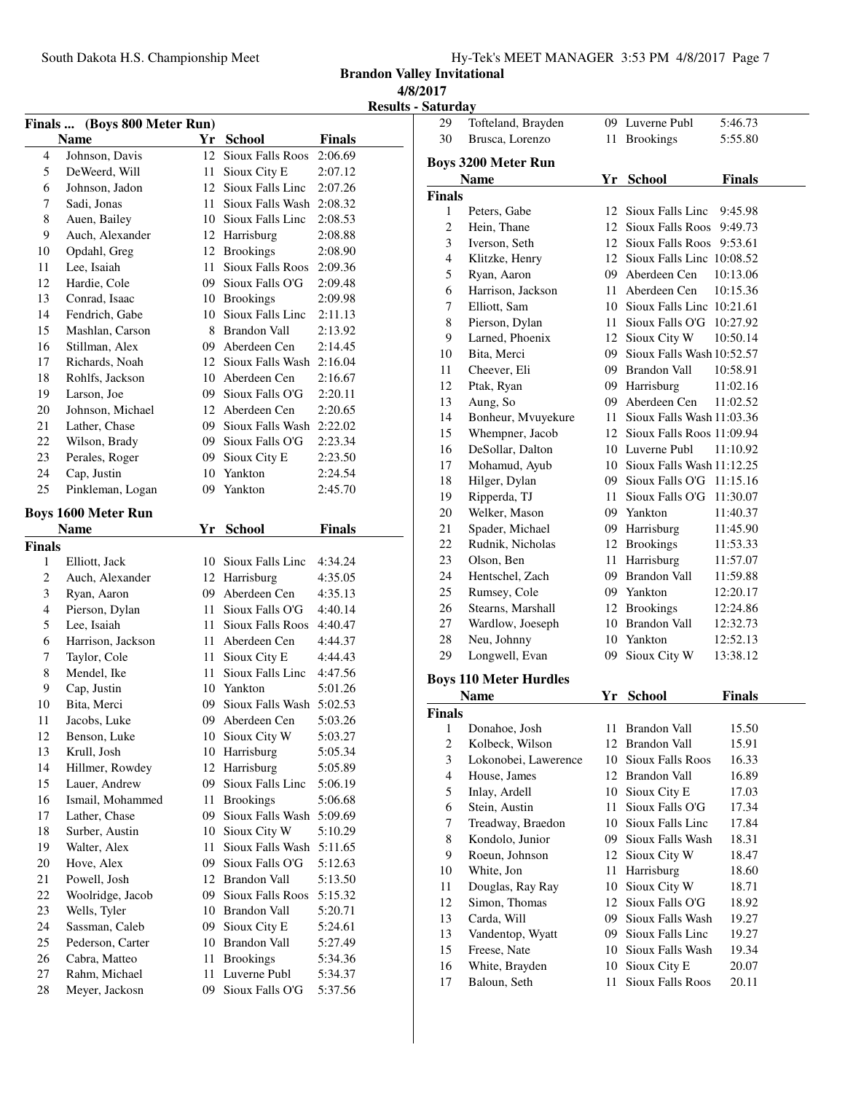**Brandon Valley Invitational**

**4/8/2017**

**Results - Saturday**<br>29 To Tofteland, Brayden 09 Luverne Publ 5:46.73

| Finals  (Boys 800 Meter Run) |                            |    |                         |               |  |
|------------------------------|----------------------------|----|-------------------------|---------------|--|
|                              | <b>Name</b>                | Yr | <b>School</b>           | <b>Finals</b> |  |
| 4                            | Johnson, Davis             | 12 | <b>Sioux Falls Roos</b> | 2:06.69       |  |
| 5                            | DeWeerd, Will              | 11 | Sioux City E            | 2:07.12       |  |
| 6                            | Johnson, Jadon             | 12 | Sioux Falls Linc        | 2:07.26       |  |
| 7                            | Sadi, Jonas                | 11 | Sioux Falls Wash        | 2:08.32       |  |
| 8                            | Auen, Bailey               | 10 | Sioux Falls Linc        | 2:08.53       |  |
| 9                            | Auch, Alexander            | 12 | Harrisburg              | 2:08.88       |  |
| 10                           | Opdahl, Greg               | 12 | <b>Brookings</b>        | 2:08.90       |  |
| 11                           | Lee, Isaiah                | 11 | <b>Sioux Falls Roos</b> | 2:09.36       |  |
| 12                           | Hardie, Cole               | 09 | Sioux Falls O'G         | 2:09.48       |  |
| 13                           | Conrad, Isaac              | 10 | <b>Brookings</b>        | 2:09.98       |  |
| 14                           | Fendrich, Gabe             | 10 | Sioux Falls Linc        | 2:11.13       |  |
| 15                           | Mashlan, Carson            | 8  | Brandon Vall            | 2:13.92       |  |
| 16                           | Stillman, Alex             | 09 | Aberdeen Cen            | 2:14.45       |  |
| 17                           | Richards, Noah             | 12 | Sioux Falls Wash        | 2:16.04       |  |
| 18                           | Rohlfs, Jackson            | 10 | Aberdeen Cen            | 2:16.67       |  |
| 19                           | Larson, Joe                | 09 | Sioux Falls O'G         | 2:20.11       |  |
| 20                           | Johnson, Michael           | 12 | Aberdeen Cen            | 2:20.65       |  |
| 21                           | Lather, Chase              | 09 | Sioux Falls Wash        | 2:22.02       |  |
| 22                           | Wilson, Brady              | 09 | Sioux Falls O'G         | 2:23.34       |  |
| 23                           | Perales, Roger             | 09 | Sioux City E            | 2:23.50       |  |
| 24                           | Cap, Justin                | 10 | Yankton                 | 2:24.54       |  |
| 25                           | Pinkleman, Logan           | 09 | Yankton                 | 2:45.70       |  |
|                              |                            |    |                         |               |  |
|                              | <b>Boys 1600 Meter Run</b> |    |                         |               |  |
|                              | <b>Name</b>                |    | Yr School               | <b>Finals</b> |  |
| <b>Finals</b>                |                            |    |                         |               |  |
| 1                            | Elliott, Jack              | 10 | Sioux Falls Linc        | 4:34.24       |  |
| 2                            | Auch, Alexander            | 12 | Harrisburg              | 4:35.05       |  |
| 3                            | Ryan, Aaron                | 09 | Aberdeen Cen            | 4:35.13       |  |
| 4                            | Pierson, Dylan             | 11 | Sioux Falls O'G         | 4:40.14       |  |
| 5                            | Lee, Isaiah                | 11 | <b>Sioux Falls Roos</b> | 4:40.47       |  |
| 6                            | Harrison, Jackson          | 11 | Aberdeen Cen            | 4:44.37       |  |
| 7                            | Taylor, Cole               | 11 | Sioux City E            | 4:44.43       |  |
| 8                            | Mendel, Ike                | 11 | Sioux Falls Linc        | 4:47.56       |  |
| 9                            | Cap, Justin                | 10 | Yankton                 | 5:01.26       |  |
| 10                           | Bita, Merci                | 09 | Sioux Falls Wash        | 5:02.53       |  |
| 11                           | Jacobs, Luke               | 09 | Aberdeen Cen            | 5:03.26       |  |
| 12                           | Benson, Luke               |    | 10 Sioux City W         | 5:03.27       |  |
| 13                           | Krull, Josh                |    | 10 Harrisburg           | 5:05.34       |  |
| 14                           | Hillmer, Rowdey            | 12 | Harrisburg              | 5:05.89       |  |
| 15                           | Lauer, Andrew              | 09 | Sioux Falls Linc        | 5:06.19       |  |
| 16                           | Ismail, Mohammed           | 11 | <b>Brookings</b>        | 5:06.68       |  |
| 17                           | Lather, Chase              | 09 | Sioux Falls Wash        | 5:09.69       |  |
| 18                           | Surber, Austin             | 10 | Sioux City W            | 5:10.29       |  |
| 19                           | Walter, Alex               | 11 | Sioux Falls Wash        | 5:11.65       |  |
| 20                           | Hove, Alex                 | 09 | Sioux Falls O'G         | 5:12.63       |  |
| 21                           | Powell, Josh               | 12 | <b>Brandon Vall</b>     | 5:13.50       |  |
| 22                           | Woolridge, Jacob           | 09 | <b>Sioux Falls Roos</b> | 5:15.32       |  |
| 23                           | Wells, Tyler               | 10 | <b>Brandon Vall</b>     | 5:20.71       |  |
| 24                           | Sassman, Caleb             | 09 | Sioux City E            | 5:24.61       |  |
| 25                           | Pederson, Carter           | 10 | <b>Brandon Vall</b>     | 5:27.49       |  |
| 26                           | Cabra, Matteo              | 11 | <b>Brookings</b>        | 5:34.36       |  |
| 27                           | Rahm, Michael              | 11 | Luverne Publ            | 5:34.37       |  |
| 28                           | Meyer, Jackosn             | 09 | Sioux Falls O'G         | 5:37.56       |  |

| 30             | Brusca, Lorenzo               | 11   | <b>Brookings</b>                                  | 5:55.80       |
|----------------|-------------------------------|------|---------------------------------------------------|---------------|
|                | <b>Boys 3200 Meter Run</b>    |      |                                                   |               |
|                | <b>Name</b>                   |      | Yr School                                         | <b>Finals</b> |
| Finals         |                               |      |                                                   |               |
| 1              | Peters, Gabe                  | 12   | Sioux Falls Linc                                  | 9:45.98       |
| $\overline{c}$ | Hein, Thane                   | 12   | <b>Sioux Falls Roos</b>                           | 9:49.73       |
| 3              | Iverson, Seth                 |      | 12 Sioux Falls Roos                               | 9:53.61       |
| 4              | Klitzke, Henry                |      | 12 Sioux Falls Linc 10:08.52                      |               |
| 5              | Ryan, Aaron                   |      | 09 Aberdeen Cen                                   | 10:13.06      |
| 6              | Harrison, Jackson             |      | 11 Aberdeen Cen                                   | 10:15.36      |
| 7              | Elliott, Sam                  |      | 10 Sioux Falls Line 10:21.61                      |               |
| 8              | Pierson, Dylan                |      | 11 Sioux Falls O'G                                | 10:27.92      |
| 9              | Larned, Phoenix               |      | 12 Sioux City W                                   | 10:50.14      |
| 10             | Bita, Merci                   |      | 09 Sioux Falls Wash 10:52.57                      |               |
| 11             | Cheever, Eli                  |      | 09 Brandon Vall                                   | 10:58.91      |
| 12             | Ptak, Ryan                    |      | 09 Harrisburg                                     | 11:02.16      |
| 13             | Aung, So                      |      | 09 Aberdeen Cen                                   | 11:02.52      |
| 14             | Bonheur, Mvuyekure            | 11 - | Sioux Falls Wash 11:03.36                         |               |
| 15             | Whempner, Jacob               |      | 12 Sioux Falls Roos 11:09.94                      |               |
| 16             | DeSollar, Dalton              |      | 10 Luverne Publ                                   | 11:10.92      |
| 17             |                               |      | 10 Sioux Falls Wash 11:12.25                      |               |
|                | Mohamud, Ayub                 |      |                                                   |               |
| 18<br>19       | Hilger, Dylan<br>Ripperda, TJ |      | 09 Sioux Falls O'G 11:15.16<br>11 Sioux Falls O'G | 11:30.07      |
| 20             | Welker, Mason                 |      |                                                   |               |
| 21             | Spader, Michael               |      | 09 Yankton                                        | 11:40.37      |
| 22             | Rudnik, Nicholas              |      | 09 Harrisburg                                     | 11:45.90      |
|                |                               |      | 12 Brookings                                      | 11:53.33      |
| 23             | Olson, Ben                    |      | 11 Harrisburg                                     | 11:57.07      |
| 24             | Hentschel, Zach               |      | 09 Brandon Vall                                   | 11:59.88      |
| 25             | Rumsey, Cole                  |      | 09 Yankton                                        | 12:20.17      |
| 26             | Stearns, Marshall             |      | 12 Brookings                                      | 12:24.86      |
| 27             | Wardlow, Joeseph              |      | 10 Brandon Vall                                   | 12:32.73      |
| 28             | Neu, Johnny                   |      | 10 Yankton                                        | 12:52.13      |
| 29             | Longwell, Evan                | 09   | Sioux City W                                      | 13:38.12      |
|                | <b>Boys 110 Meter Hurdles</b> |      |                                                   |               |
|                | Name                          | Yr   | <b>School</b>                                     | Finals        |
| Finals         |                               |      |                                                   |               |
| 1              | Donahoe, Josh                 |      | 11 Brandon Vall                                   | 15.50         |
| $\overline{c}$ | Kolbeck, Wilson               | 12   | Brandon Vall                                      | 15.91         |
| 3              | Lokonobei, Lawerence          | 10   | Sioux Falls Roos                                  | 16.33         |
| 4              | House, James                  | 12   | <b>Brandon Vall</b>                               | 16.89         |
| 5              | Inlay, Ardell                 | 10   | Sioux City E                                      | 17.03         |
| 6              | Stein, Austin                 | 11   | Sioux Falls O'G                                   | 17.34         |
| 7              | Treadway, Braedon             | 10   | Sioux Falls Linc                                  | 17.84         |
| 8              | Kondolo, Junior               | 09   | Sioux Falls Wash                                  | 18.31         |
| 9              | Roeun, Johnson                | 12   | Sioux City W                                      | 18.47         |
| 10             | White, Jon                    | 11   | Harrisburg                                        | 18.60         |
| 11             | Douglas, Ray Ray              | 10   | Sioux City W                                      | 18.71         |
| 12             | Simon, Thomas                 | 12   | Sioux Falls O'G                                   | 18.92         |
| 13             | Carda, Will                   | 09-  | Sioux Falls Wash                                  | 19.27         |
| 13             | Vandentop, Wyatt              | 09   | Sioux Falls Linc                                  | 19.27         |
| 15             | Freese, Nate                  | 10   | Sioux Falls Wash                                  | 19.34         |
| 16             | White, Brayden                | 10   | Sioux City E                                      | 20.07         |
| 17             | Baloun, Seth                  | 11   | <b>Sioux Falls Roos</b>                           | 20.11         |
|                |                               |      |                                                   |               |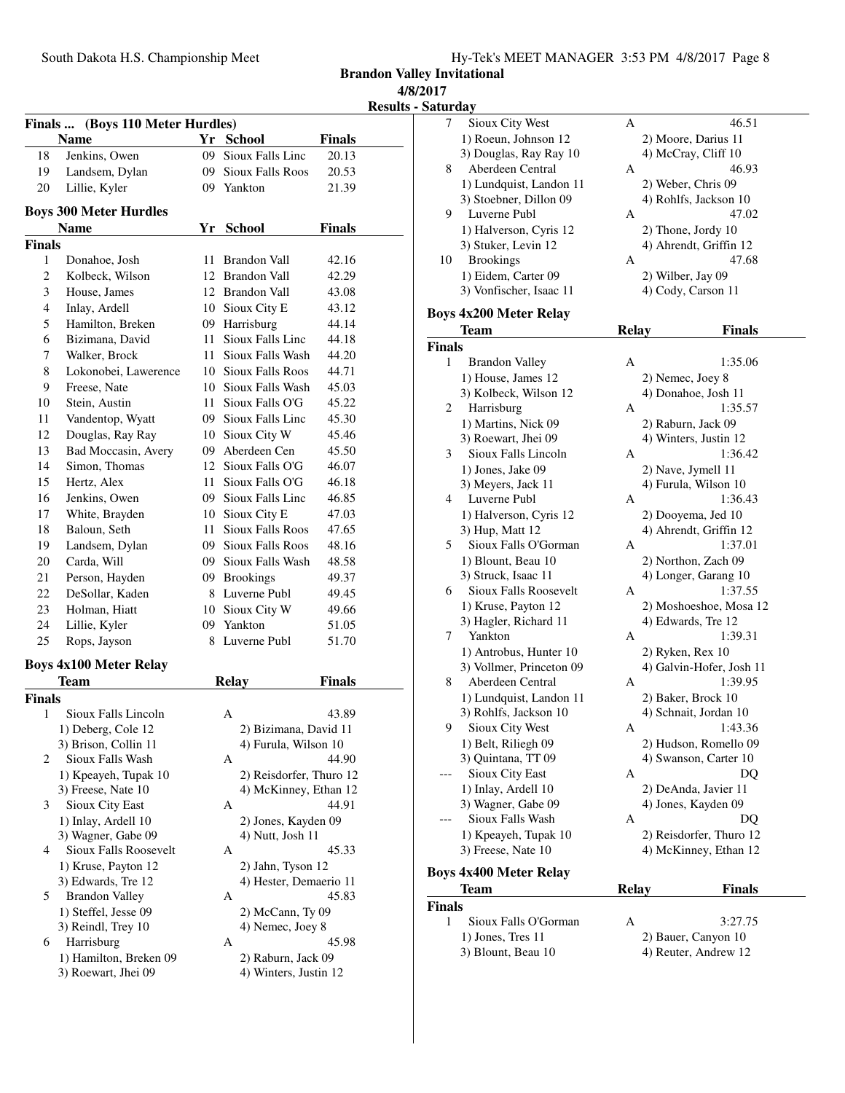**Brandon Valley Invitational**

**4/8/2017**

**Results - Saturday**

|                |                                           |      |                                         |               | <b>Result:</b> |
|----------------|-------------------------------------------|------|-----------------------------------------|---------------|----------------|
|                | Finals  (Boys 110 Meter Hurdles)          |      |                                         |               |                |
|                | Name                                      |      | Yr School                               | <b>Finals</b> |                |
| 18             | Jenkins, Owen                             |      | 09 Sioux Falls Linc                     | 20.13         |                |
| 19             | Landsem, Dylan                            |      | 09 Sioux Falls Roos                     | 20.53         |                |
| 20             | Lillie, Kyler                             |      | 09 Yankton                              | 21.39         |                |
|                | <b>Boys 300 Meter Hurdles</b>             |      |                                         |               |                |
|                | <b>Name</b>                               | Yr   | <b>School</b>                           | <b>Finals</b> |                |
| Finals         |                                           |      |                                         |               |                |
| 1              | Donahoe, Josh                             | 11   | <b>Brandon Vall</b>                     | 42.16         |                |
| $\mathbf{2}$   | Kolbeck, Wilson                           |      | 12 Brandon Vall                         | 42.29         |                |
| 3              | House, James                              |      | 12 Brandon Vall                         | 43.08         |                |
| $\overline{4}$ | Inlay, Ardell                             |      | 10 Sioux City E                         | 43.12         |                |
| 5              | Hamilton, Breken                          |      | 09 Harrisburg                           | 44.14         |                |
| 6              | Bizimana, David                           | 11 - | Sioux Falls Linc                        | 44.18         |                |
| 7              | Walker, Brock                             | 11 - | Sioux Falls Wash                        | 44.20         |                |
| 8              | Lokonobei, Lawerence                      |      | 10 Sioux Falls Roos                     | 44.71         |                |
| 9              | Freese, Nate                              |      | 10 Sioux Falls Wash                     | 45.03         |                |
| 10             | Stein, Austin                             |      | 11 Sioux Falls O'G                      | 45.22         |                |
| 11             | Vandentop, Wyatt                          |      | 09 Sioux Falls Linc                     | 45.30         |                |
| 12             | Douglas, Ray Ray                          |      | 10 Sioux City W                         | 45.46         |                |
| 13             | Bad Moccasin, Avery                       |      | 09 Aberdeen Cen                         | 45.50         |                |
| 14             | Simon, Thomas                             |      | 12 Sioux Falls O'G                      | 46.07         |                |
| 15             | Hertz, Alex                               | 11 - | Sioux Falls O'G                         | 46.18         |                |
| 16             | Jenkins, Owen                             |      | 09 Sioux Falls Linc                     | 46.85         |                |
| 17             | White, Brayden                            | 10   | Sioux City E                            | 47.03         |                |
| 18             | Baloun, Seth                              | 11 - | <b>Sioux Falls Roos</b>                 | 47.65         |                |
| 19             | Landsem, Dylan                            |      | 09 Sioux Falls Roos                     | 48.16         |                |
| 20             | Carda, Will                               |      | 09 Sioux Falls Wash                     | 48.58         |                |
| 21             | Person, Hayden                            |      | 09 Brookings                            | 49.37         |                |
| 22             | DeSollar, Kaden                           |      | 8 Luverne Publ                          | 49.45         |                |
| 23             | Holman, Hiatt                             |      | 10 Sioux City W                         | 49.66         |                |
| 24             | Lillie, Kyler                             |      | 09 Yankton                              | 51.05         |                |
| 25             | Rops, Jayson                              | 8    | Luverne Publ                            | 51.70         |                |
|                |                                           |      |                                         |               |                |
|                | <b>Boys 4x100 Meter Relay</b>             |      |                                         |               |                |
|                | <b>Team</b>                               |      | <b>Relay</b>                            | Finals        |                |
| Finals         |                                           |      |                                         |               |                |
| 1              | Sioux Falls Lincoln                       |      | А                                       | 43.89         |                |
|                | 1) Deberg, Cole 12                        |      | 2) Bizimana, David 11                   |               |                |
|                | 3) Brison, Collin 11                      |      | 4) Furula, Wilson 10                    |               |                |
| 2              | Sioux Falls Wash                          |      | А                                       | 44.90         |                |
|                | 1) Kpeayeh, Tupak 10                      |      | 2) Reisdorfer, Thuro 12                 |               |                |
|                | 3) Freese, Nate 10                        |      | 4) McKinney, Ethan 12                   | 44.91         |                |
| 3              | Sioux City East                           |      | А                                       |               |                |
|                | 1) Inlay, Ardell 10<br>3) Wagner, Gabe 09 |      | 2) Jones, Kayden 09<br>4) Nutt, Josh 11 |               |                |
| 4              | Sioux Falls Roosevelt                     |      | A                                       | 45.33         |                |
|                | 1) Kruse, Payton 12                       |      | 2) Jahn, Tyson 12                       |               |                |
|                | 3) Edwards, Tre 12                        |      | 4) Hester, Demaerio 11                  |               |                |
| 5              | <b>Brandon Valley</b>                     |      | А                                       | 45.83         |                |
|                | 1) Steffel, Jesse 09                      |      | 2) McCann, Ty 09                        |               |                |
|                | 3) Reindl, Trey 10                        |      | 4) Nemec, Joey 8                        |               |                |
| 6              | Harrisburg                                |      | А                                       | 45.98         |                |
|                | 1) Hamilton, Breken 09                    |      | 2) Raburn, Jack 09                      |               |                |
|                | 3) Roewart, Jhei 09                       |      | 4) Winters, Justin 12                   |               |                |
|                |                                           |      |                                         |               |                |
|                |                                           |      |                                         |               |                |

| 7             | Sioux City West               | Α            | 46.51                    |
|---------------|-------------------------------|--------------|--------------------------|
|               | 1) Roeun, Johnson 12          |              | 2) Moore, Darius 11      |
|               | 3) Douglas, Ray Ray 10        |              | 4) McCray, Cliff 10      |
| 8             | Aberdeen Central              | А            | 46.93                    |
|               | 1) Lundquist, Landon 11       |              | 2) Weber, Chris 09       |
|               | 3) Stoebner, Dillon 09        |              | 4) Rohlfs, Jackson 10    |
| 9             | Luverne Publ                  | А            | 47.02                    |
|               | 1) Halverson, Cyris 12        |              | 2) Thone, Jordy 10       |
|               | 3) Stuker, Levin 12           |              | 4) Ahrendt, Griffin 12   |
| 10            | <b>Brookings</b>              | А            | 47.68                    |
|               | 1) Eidem, Carter 09           |              | 2) Wilber, Jay 09        |
|               | 3) Vonfischer, Isaac 11       |              | 4) Cody, Carson 11       |
|               |                               |              |                          |
|               | <b>Boys 4x200 Meter Relay</b> |              |                          |
|               | Team                          | <b>Relay</b> | Finals                   |
| Finals        |                               |              |                          |
| 1             | <b>Brandon Valley</b>         | А            | 1:35.06                  |
|               | 1) House, James 12            |              | 2) Nemec, Joey 8         |
|               | 3) Kolbeck, Wilson 12         |              | 4) Donahoe, Josh 11      |
| 2             | Harrisburg                    | А            | 1:35.57                  |
|               | 1) Martins, Nick 09           |              | 2) Raburn, Jack 09       |
|               | 3) Roewart, Jhei 09           |              | 4) Winters, Justin 12    |
| 3             | Sioux Falls Lincoln           | А            | 1:36.42                  |
|               | 1) Jones, Jake 09             |              | 2) Nave, Jymell 11       |
|               | 3) Meyers, Jack 11            |              | 4) Furula, Wilson 10     |
| 4             | Luverne Publ                  | А            | 1:36.43                  |
|               | 1) Halverson, Cyris 12        |              | 2) Dooyema, Jed 10       |
|               | 3) Hup, Matt 12               |              | 4) Ahrendt, Griffin 12   |
| 5             | Sioux Falls O'Gorman          | А            | 1:37.01                  |
|               | 1) Blount, Beau 10            |              | 2) Northon, Zach 09      |
|               | 3) Struck, Isaac 11           |              | 4) Longer, Garang 10     |
| 6             | Sioux Falls Roosevelt         | А            | 1:37.55                  |
|               | 1) Kruse, Payton 12           |              | 2) Moshoeshoe, Mosa 12   |
|               | 3) Hagler, Richard 11         |              | 4) Edwards, Tre 12       |
| 7             | Yankton                       | А            | 1:39.31                  |
|               | 1) Antrobus, Hunter 10        |              | 2) Ryken, Rex 10         |
|               | 3) Vollmer, Princeton 09      |              | 4) Galvin-Hofer, Josh 11 |
| 8             | Aberdeen Central              | А            | 1:39.95                  |
|               | 1) Lundquist, Landon 11       |              | 2) Baker, Brock 10       |
|               | 3) Rohlfs, Jackson 10         |              | 4) Schnait, Jordan 10    |
| 9             | Sioux City West               | A            | 1:43.36                  |
|               | 1) Belt, Riliegh 09           |              | 2) Hudson, Romello 09    |
|               | 3) Quintana, TT 09            |              | 4) Swanson, Carter 10    |
|               | Sioux City East               | Α            | DQ                       |
|               | 1) Inlay, Ardell 10           |              | 2) DeAnda, Javier 11     |
|               | 3) Wagner, Gabe 09            |              | 4) Jones, Kayden 09      |
|               | Sioux Falls Wash              | А            | DQ                       |
|               | 1) Kpeayeh, Tupak 10          |              | 2) Reisdorfer, Thuro 12  |
|               | 3) Freese, Nate 10            |              | 4) McKinney, Ethan 12    |
|               | <b>Boys 4x400 Meter Relay</b> |              |                          |
|               | Team                          | <b>Relay</b> | <b>Finals</b>            |
| <b>Finals</b> |                               |              |                          |
| 1             | Sioux Falls O'Gorman          | Α            | 3:27.75                  |
|               | 1) Jones, Tres 11             |              | 2) Bauer, Canyon 10      |
|               | 3) Blount, Beau 10            |              | 4) Reuter, Andrew 12     |
|               |                               |              |                          |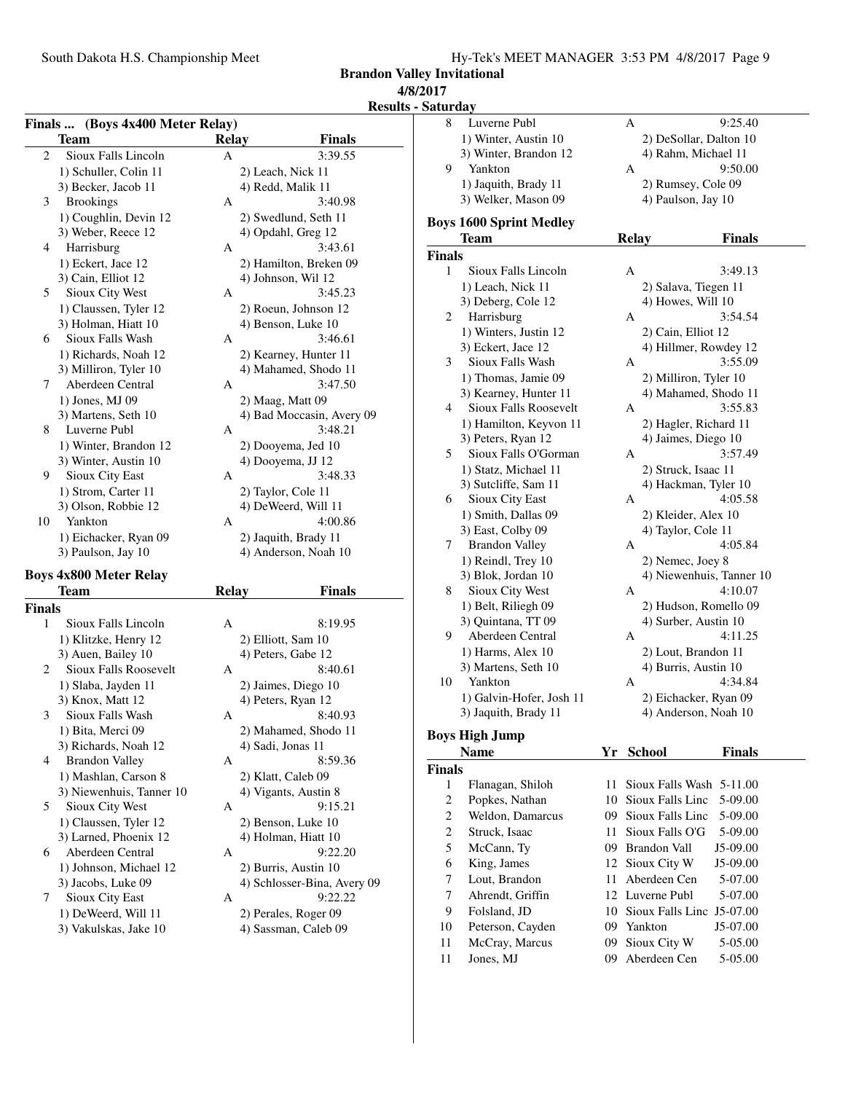**Brandon Valley Invitational 4/8/2017**

### **Results - Saturday**

| Finals  (Boys 4x400 Meter Relay) |                                             |              |                                              |  |
|----------------------------------|---------------------------------------------|--------------|----------------------------------------------|--|
|                                  | <b>Team</b>                                 | <b>Relay</b> | Finals                                       |  |
| 2                                | Sioux Falls Lincoln                         | A            | 3:39.55                                      |  |
|                                  | 1) Schuller, Colin 11                       |              | 2) Leach, Nick 11                            |  |
|                                  | 3) Becker, Jacob 11                         |              | 4) Redd, Malik 11                            |  |
| 3                                | <b>Brookings</b>                            | А            | 3:40.98                                      |  |
|                                  | 1) Coughlin, Devin 12                       |              | 2) Swedlund, Seth 11                         |  |
|                                  | 3) Weber, Reece 12                          |              | 4) Opdahl, Greg 12                           |  |
| 4                                | Harrisburg                                  | А            | 3:43.61                                      |  |
|                                  | 1) Eckert, Jace 12                          |              | 2) Hamilton, Breken 09                       |  |
|                                  | 3) Cain, Elliot 12                          |              | 4) Johnson, Wil 12                           |  |
| 5                                | Sioux City West                             | А            | 3:45.23                                      |  |
|                                  | 1) Claussen, Tyler 12                       |              | 2) Roeun, Johnson 12                         |  |
|                                  | 3) Holman, Hiatt 10                         |              | 4) Benson, Luke 10                           |  |
| 6                                | Sioux Falls Wash                            | А            | 3:46.61                                      |  |
|                                  | 1) Richards, Noah 12                        |              | 2) Kearney, Hunter 11                        |  |
|                                  | 3) Milliron, Tyler 10                       |              | 4) Mahamed, Shodo 11                         |  |
| 7                                | Aberdeen Central                            | А            | 3:47.50                                      |  |
|                                  | 1) Jones, MJ 09                             |              | 2) Maag, Matt 09                             |  |
|                                  | 3) Martens, Seth 10                         |              | 4) Bad Moccasin, Avery 09                    |  |
| 8                                | Luverne Publ                                | А            | 3:48.21                                      |  |
|                                  | 1) Winter, Brandon 12                       |              | 2) Dooyema, Jed 10                           |  |
|                                  | 3) Winter, Austin 10                        |              | 4) Dooyema, JJ 12                            |  |
| 9                                | Sioux City East                             | А            | 3:48.33                                      |  |
|                                  | 1) Strom, Carter 11                         |              | 2) Taylor, Cole 11                           |  |
|                                  | 3) Olson, Robbie 12                         |              | 4) DeWeerd, Will 11                          |  |
| 10                               | Yankton                                     | А            | 4:00.86                                      |  |
|                                  |                                             |              |                                              |  |
|                                  | 1) Eichacker, Ryan 09<br>3) Paulson, Jay 10 |              | 2) Jaquith, Brady 11<br>4) Anderson, Noah 10 |  |
|                                  |                                             |              |                                              |  |
|                                  | <b>Boys 4x800 Meter Relay</b>               |              |                                              |  |
|                                  | <b>Team</b>                                 | <b>Relay</b> | Finals                                       |  |
| <b>Finals</b>                    |                                             |              |                                              |  |
| 1                                | Sioux Falls Lincoln                         | А            | 8:19.95                                      |  |
|                                  | 1) Klitzke, Henry 12                        |              | 2) Elliott, Sam 10                           |  |
|                                  | 3) Auen, Bailey 10                          |              | 4) Peters, Gabe 12                           |  |
| 2                                | Sioux Falls Roosevelt                       | А            | 8:40.61                                      |  |
|                                  | 1) Slaba, Jayden 11                         |              | 2) Jaimes, Diego 10                          |  |
|                                  | 3) Knox, Matt 12                            |              | 4) Peters, Ryan 12                           |  |
| 3                                | Sioux Falls Wash                            | А            | 8:40.93                                      |  |
|                                  | 1) Bita, Merci 09                           |              | 2) Mahamed, Shodo 11                         |  |
|                                  | 3) Richards, Noah 12                        |              | 4) Sadi, Jonas 11                            |  |
| 4                                | <b>Brandon Valley</b>                       | А            | 8:59.36                                      |  |
|                                  | 1) Mashlan, Carson 8                        |              | 2) Klatt, Caleb 09                           |  |
|                                  | 3) Niewenhuis, Tanner 10                    |              | 4) Vigants, Austin 8                         |  |
| 5                                | Sioux City West                             | А            | 9:15.21                                      |  |
|                                  | 1) Claussen, Tyler 12                       |              | 2) Benson, Luke 10                           |  |
|                                  | 3) Larned, Phoenix 12                       |              | 4) Holman, Hiatt 10                          |  |

6 Aberdeen Central A 9:22.20

| 8                       | Luverne Publ                   |    | А                        | 9:25.40                  |
|-------------------------|--------------------------------|----|--------------------------|--------------------------|
|                         | 1) Winter, Austin 10           |    |                          | 2) DeSollar, Dalton 10   |
|                         | 3) Winter, Brandon 12          |    | 4) Rahm, Michael 11      |                          |
| 9                       | Yankton                        |    | А                        | 9:50.00                  |
|                         | 1) Jaquith, Brady 11           |    | 2) Rumsey, Cole 09       |                          |
|                         | 3) Welker, Mason 09            |    | 4) Paulson, Jay 10       |                          |
|                         | <b>Boys 1600 Sprint Medley</b> |    |                          |                          |
|                         | <b>Team</b>                    |    | <b>Relay</b>             | <b>Finals</b>            |
| <b>Finals</b>           |                                |    |                          |                          |
| 1                       | Sioux Falls Lincoln            |    | A                        | 3:49.13                  |
|                         | 1) Leach, Nick 11              |    | 2) Salava, Tiegen 11     |                          |
|                         | 3) Deberg, Cole 12             |    | 4) Howes, Will 10        |                          |
| 2                       | Harrisburg                     |    | А                        | 3:54.54                  |
|                         | 1) Winters, Justin 12          |    | 2) Cain, Elliot 12       |                          |
|                         | 3) Eckert, Jace 12             |    |                          | 4) Hillmer, Rowdey 12    |
| 3                       | Sioux Falls Wash               |    | A                        | 3:55.09                  |
|                         | 1) Thomas, Jamie 09            |    | 2) Milliron, Tyler 10    |                          |
|                         | 3) Kearney, Hunter 11          |    |                          | 4) Mahamed, Shodo 11     |
| 4                       | <b>Sioux Falls Roosevelt</b>   |    | A                        | 3:55.83                  |
|                         | 1) Hamilton, Keyvon 11         |    |                          | 2) Hagler, Richard 11    |
|                         | 3) Peters, Ryan 12             |    | 4) Jaimes, Diego 10      |                          |
| 5                       | Sioux Falls O'Gorman           |    | А                        | 3:57.49                  |
|                         | 1) Statz, Michael 11           |    | 2) Struck, Isaac 11      |                          |
|                         | 3) Sutcliffe, Sam 11           |    |                          | 4) Hackman, Tyler 10     |
| 6                       | Sioux City East                |    | А                        | 4:05.58                  |
|                         | 1) Smith, Dallas 09            |    | 2) Kleider, Alex 10      |                          |
|                         | 3) East, Colby 09              |    | 4) Taylor, Cole 11       |                          |
| 7                       | <b>Brandon Valley</b>          |    | A                        | 4:05.84                  |
|                         | 1) Reindl, Trey 10             |    | 2) Nemec, Joey 8         |                          |
|                         | 3) Blok, Jordan 10             |    |                          | 4) Niewenhuis, Tanner 10 |
| 8                       | Sioux City West                |    | А                        | 4:10.07                  |
|                         | 1) Belt, Riliegh 09            |    |                          | 2) Hudson, Romello 09    |
|                         | 3) Quintana, TT 09             |    | 4) Surber, Austin 10     |                          |
| 9.                      | Aberdeen Central               |    | A                        | 4:11.25                  |
|                         | 1) Harms, Alex 10              |    | 2) Lout, Brandon 11      |                          |
|                         | 3) Martens, Seth 10            |    | 4) Burris, Austin 10     |                          |
| 10                      | Yankton                        |    | A                        | 4:34.84                  |
|                         | 1) Galvin-Hofer, Josh 11       |    |                          | 2) Eichacker, Ryan 09    |
|                         | 3) Jaquith, Brady 11           |    |                          | 4) Anderson, Noah 10     |
|                         | <b>Boys High Jump</b>          |    |                          |                          |
|                         | <b>Name</b>                    | Yr | <b>School</b>            | <b>Finals</b>            |
| <b>Finals</b>           |                                |    |                          |                          |
| 1                       | Flanagan, Shiloh               | 11 | Sioux Falls Wash 5-11.00 |                          |
| $\overline{c}$          | Popkes, Nathan                 | 10 | Sioux Falls Linc         | 5-09.00                  |
| $\overline{c}$          | Weldon, Damarcus               | 09 | Sioux Falls Linc         | 5-09.00                  |
| $\overline{\mathbf{c}}$ | Struck, Isaac                  | 11 | Sioux Falls O'G          | 5-09.00                  |
| 5                       | McCann, Ty                     | 09 | <b>Brandon Vall</b>      | J5-09.00                 |
| 6                       | King, James                    | 12 | Sioux City W             | J5-09.00                 |
| 7                       | Lout, Brandon                  | 11 | Aberdeen Cen             | 5-07.00                  |
|                         |                                |    |                          |                          |

# 1) Johnson, Michael 12 2) Burris, Austin 10<br>3) Jacobs, Luke 09 4) Schlosser-Bina, A 7 Sioux City East A<br>1) DeWeerd, Will 11

- 
- 3) Vakulskas, Jake 10 4) Sassman, Caleb 09

2) Perales, Roger 09

4) Schlosser-Bina, Avery 09  $9:22.22$ 

- 11 Jones, MJ 09 Aberdeen Cen 5-05.00
- 7 Ahrendt, Griffin 12 Luverne Publ 5-07.00<br>9 Folsland, JD 10 Sioux Falls Linc J5-07.00 9 Folsland, JD 10 Sioux Falls Linc J5-07.00 10 Peterson, Cayden 09 Yankton J5-07.00 11 McCray, Marcus 09 Sioux City W 5-05.00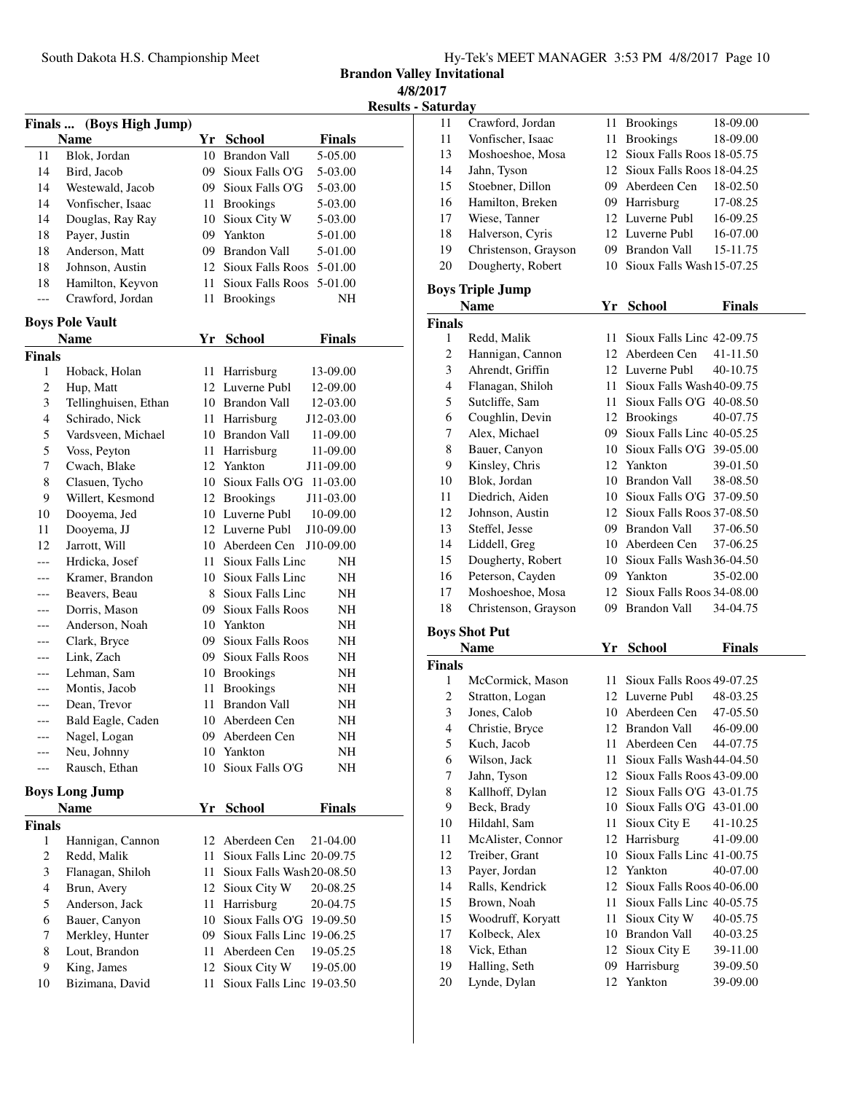**Brandon Valley Invitational 4/8/2017**

**Results - Saturday** 

| Finals  (Boys High Jump) |                        |      |                                |  |  |
|--------------------------|------------------------|------|--------------------------------|--|--|
|                          | Name                   |      | Yr School<br><b>Finals</b>     |  |  |
| 11                       | Blok, Jordan           |      | 10 Brandon Vall<br>5-05.00     |  |  |
| 14                       | Bird, Jacob            |      | 09 Sioux Falls O'G<br>5-03.00  |  |  |
| 14                       | Westewald, Jacob       |      | 09 Sioux Falls O'G<br>5-03.00  |  |  |
| 14                       | Vonfischer, Isaac      |      | 11 Brookings<br>5-03.00        |  |  |
| 14                       | Douglas, Ray Ray       |      | 10 Sioux City W<br>5-03.00     |  |  |
| 18                       | Payer, Justin          |      | 09 Yankton<br>5-01.00          |  |  |
| 18                       | Anderson, Matt         |      | 09 Brandon Vall<br>5-01.00     |  |  |
| 18                       | Johnson, Austin        |      | 12 Sioux Falls Roos<br>5-01.00 |  |  |
| 18                       | Hamilton, Keyvon       | 11 - | Sioux Falls Roos<br>5-01.00    |  |  |
| ---                      | Crawford, Jordan       | 11   | <b>Brookings</b><br>NΗ         |  |  |
|                          | <b>Boys Pole Vault</b> |      |                                |  |  |
|                          | Name                   | Yr   | <b>School</b><br>Finals        |  |  |
| Finals                   |                        |      |                                |  |  |
| 1                        | Hoback, Holan          | 11   | Harrisburg<br>13-09.00         |  |  |
| 2                        | Hup, Matt              |      | 12 Luverne Publ<br>12-09.00    |  |  |
| 3                        | Tellinghuisen, Ethan   |      | 10 Brandon Vall<br>12-03.00    |  |  |
| 4                        | Schirado, Nick         |      | 11 Harrisburg<br>J12-03.00     |  |  |
| 5                        | Vardsveen, Michael     |      | 10 Brandon Vall<br>11-09.00    |  |  |
| 5                        | Voss, Peyton           |      | 11 Harrisburg<br>11-09.00      |  |  |
| 7                        | Cwach, Blake           |      | 12 Yankton<br>J11-09.00        |  |  |
| 8                        | Clasuen, Tycho         |      | 10 Sioux Falls O'G 11-03.00    |  |  |
| 9                        | Willert, Kesmond       |      | 12 Brookings<br>J11-03.00      |  |  |
| 10                       | Dooyema, Jed           |      | 10 Luverne Publ<br>10-09.00    |  |  |
| 11                       | Dooyema, JJ            |      | 12 Luverne Publ<br>J10-09.00   |  |  |
| 12                       | Jarrott, Will          |      | 10 Aberdeen Cen<br>J10-09.00   |  |  |
| ---                      | Hrdicka, Josef         |      | 11 Sioux Falls Linc<br>NΗ      |  |  |
| ---                      | Kramer, Brandon        |      | 10 Sioux Falls Linc<br>NH      |  |  |
|                          | Beavers, Beau          |      | 8 Sioux Falls Linc<br>NH       |  |  |
|                          | Dorris, Mason          |      | 09 Sioux Falls Roos<br>NΗ      |  |  |
|                          | Anderson, Noah         |      | 10 Yankton<br>NH               |  |  |
| ---                      | Clark, Bryce           |      | 09 Sioux Falls Roos<br>NH      |  |  |
|                          | Link, Zach             |      | 09 Sioux Falls Roos<br>NH      |  |  |
| ---                      | Lehman, Sam            |      | 10 Brookings<br>NH             |  |  |
|                          | Montis, Jacob          | 11   | <b>Brookings</b><br>NH         |  |  |
|                          | Dean, Trevor           | 11   | <b>Brandon Vall</b><br>NΗ      |  |  |
| ---                      | Bald Eagle, Caden      |      | 10 Aberdeen Cen<br>NH          |  |  |
|                          | Nagel, Logan           | 09   | Aberdeen Cen<br>NH             |  |  |
|                          | Neu, Johnny            |      | 10 Yankton<br>ΝH               |  |  |
| ---                      | Rausch, Ethan          | 10   | Sioux Falls O'G<br>NH          |  |  |
|                          | <b>Boys Long Jump</b>  |      |                                |  |  |
|                          | Name                   | Yr   | <b>Finals</b><br><b>School</b> |  |  |
| <b>Finals</b>            |                        |      |                                |  |  |
| 1                        | Hannigan, Cannon       |      | 12 Aberdeen Cen<br>21-04.00    |  |  |
| 2                        | Redd, Malik            | 11   | Sioux Falls Linc 20-09.75      |  |  |
| 3                        | Flanagan, Shiloh       | 11-  | Sioux Falls Wash 20-08.50      |  |  |
| 4                        | Brun, Avery            |      | 12 Sioux City W<br>20-08.25    |  |  |
| 5                        | Anderson, Jack         | 11   | Harrisburg<br>20-04.75         |  |  |
| 6                        | Bauer, Canyon          |      | 10 Sioux Falls O'G<br>19-09.50 |  |  |
| 7                        | Merkley, Hunter        |      | 09 Sioux Falls Linc 19-06.25   |  |  |
| 8                        | Lout, Brandon          | 11   | Aberdeen Cen<br>19-05.25       |  |  |
| 9                        | King, James            |      | 12 Sioux City W<br>19-05.00    |  |  |
| 10                       | Bizimana, David        | 11   | Sioux Falls Linc 19-03.50      |  |  |

| Saturdav      |                         |     |                              |               |  |
|---------------|-------------------------|-----|------------------------------|---------------|--|
| 11            | Crawford, Jordan        | 11  | <b>Brookings</b>             | 18-09.00      |  |
| 11            | Vonfischer, Isaac       | 11  | <b>Brookings</b>             | 18-09.00      |  |
| 13            | Moshoeshoe, Mosa        |     | 12 Sioux Falls Roos 18-05.75 |               |  |
| 14            | Jahn, Tyson             | 12. | Sioux Falls Roos 18-04.25    |               |  |
| 15            | Stoebner, Dillon        | 09. | Aberdeen Cen                 | 18-02.50      |  |
| 16            | Hamilton, Breken        | 09  | Harrisburg                   | 17-08.25      |  |
| 17            | Wiese, Tanner           |     | 12 Luverne Publ              | 16-09.25      |  |
| 18            | Halverson, Cyris        |     | 12 Luverne Publ              | 16-07.00      |  |
| 19            | Christenson, Grayson    | 09  | Brandon Vall                 | 15-11.75      |  |
| 20            | Dougherty, Robert       | 10  | Sioux Falls Wash 15-07.25    |               |  |
|               | <b>Boys Triple Jump</b> |     |                              |               |  |
|               | Name                    | Yr. | <b>School</b>                | <b>Finals</b> |  |
| <b>Finals</b> |                         |     |                              |               |  |
| 1             | Redd, Malik             | 11  | Sioux Falls Linc 42-09.75    |               |  |
| 2             | Hannigan, Cannon        |     | 12 Aberdeen Cen              | 41-11.50      |  |

| ∠  | Hannigan, Cannon     |     | 12 Aberdeen Cen              | 41-11.30 |
|----|----------------------|-----|------------------------------|----------|
| 3  | Ahrendt, Griffin     |     | 12 Luverne Publ              | 40-10.75 |
| 4  | Flanagan, Shiloh     | 11. | Sioux Falls Wash40-09.75     |          |
| 5  | Sutcliffe, Sam       | 11  | Sioux Falls O'G $40-08.50$   |          |
| 6  | Coughlin, Devin      |     | 12 Brookings                 | 40-07.75 |
| 7  | Alex, Michael        | 09. | Sioux Falls Linc 40-05.25    |          |
| 8  | Bauer, Canyon        | 10  | Sioux Falls O'G 39-05.00     |          |
| 9  | Kinsley, Chris       |     | 12 Yankton                   | 39-01.50 |
| 10 | Blok, Jordan         | 10  | Brandon Vall                 | 38-08.50 |
| 11 | Diedrich, Aiden      | 10  | Sioux Falls O'G 37-09.50     |          |
| 12 | Johnson, Austin      |     | 12 Sioux Falls Roos 37-08.50 |          |
| 13 | Steffel, Jesse       | 09  | Brandon Vall                 | 37-06.50 |
| 14 | Liddell, Greg        | 10  | Aberdeen Cen                 | 37-06.25 |
| 15 | Dougherty, Robert    | 10  | Sioux Falls Wash 36-04.50    |          |
| 16 | Peterson, Cayden     |     | 09 Yankton                   | 35-02.00 |
| 17 | Moshoeshoe, Mosa     |     | 12 Sioux Falls Roos 34-08.00 |          |
| 18 | Christenson, Grayson | 09. | Brandon Vall                 | 34-04.75 |

### **Boys Shot Put**

| <b>Name</b>   |                   | Yr | School                    | <b>Finals</b> |
|---------------|-------------------|----|---------------------------|---------------|
| <b>Finals</b> |                   |    |                           |               |
| 1             | McCormick, Mason  | 11 | Sioux Falls Roos 49-07.25 |               |
| 2             | Stratton, Logan   |    | 12 Luverne Publ           | 48-03.25      |
| 3             | Jones, Calob      | 10 | Aberdeen Cen              | 47-05.50      |
| 4             | Christie, Bryce   | 12 | Brandon Vall              | 46-09.00      |
| 5             | Kuch, Jacob       | 11 | Aberdeen Cen              | 44-07.75      |
| 6             | Wilson, Jack      | 11 | Sioux Falls Wash44-04.50  |               |
| 7             | Jahn, Tyson       | 12 | Sioux Falls Roos 43-09.00 |               |
| 8             | Kallhoff, Dylan   | 12 | Sioux Falls O'G 43-01.75  |               |
| 9             | Beck, Brady       | 10 | Sioux Falls O'G 43-01.00  |               |
| 10            | Hildahl, Sam      | 11 | Sioux City E              | 41-10.25      |
| 11            | McAlister, Connor | 12 | Harrisburg                | 41-09.00      |
| 12            | Treiber, Grant    | 10 | Sioux Falls Linc 41-00.75 |               |
| 13            | Payer, Jordan     |    | 12 Yankton                | 40-07.00      |
| 14            | Ralls, Kendrick   | 12 | Sioux Falls Roos 40-06.00 |               |
| 15            | Brown, Noah       | 11 | Sioux Falls Linc 40-05.75 |               |
| 15            | Woodruff, Koryatt | 11 | Sioux City W              | 40-05.75      |
| 17            | Kolbeck, Alex     | 10 | Brandon Vall              | 40-03.25      |
| 18            | Vick, Ethan       |    | 12 Sioux City E           | 39-11.00      |
| 19            | Halling, Seth     | 09 | Harrisburg                | 39-09.50      |
| 20            | Lynde, Dylan      |    | 12 Yankton                | 39-09.00      |